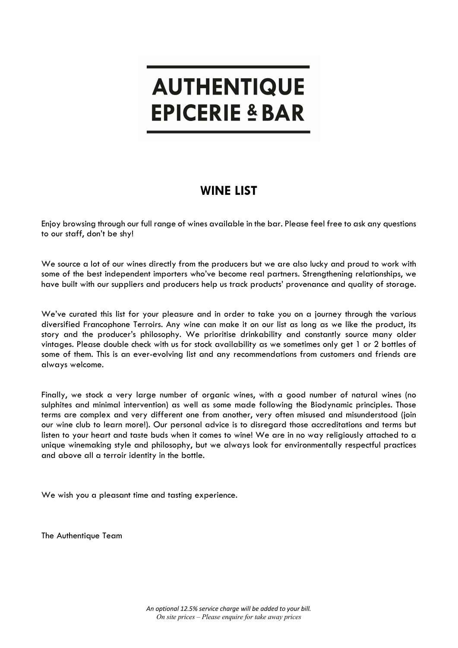# **AUTHENTIQUE EPICERIE & BAR**

# **WINE LIST**

Enjoy browsing through our full range of wines available in the bar. Please feel free to ask any questions to our staff, don't be shy!

We source a lot of our wines directly from the producers but we are also lucky and proud to work with some of the best independent importers who've become real partners. Strengthening relationships, we have built with our suppliers and producers help us track products' provenance and quality of storage.

We've curated this list for your pleasure and in order to take you on a journey through the various diversified Francophone Terroirs. Any wine can make it on our list as long as we like the product, its story and the producer's philosophy. We prioritise drinkability and constantly source many older vintages. Please double check with us for stock availability as we sometimes only get 1 or 2 bottles of some of them. This is an ever-evolving list and any recommendations from customers and friends are always welcome.

Finally, we stock a very large number of organic wines, with a good number of natural wines (no sulphites and minimal intervention) as well as some made following the Biodynamic principles. Those terms are complex and very different one from another, very often misused and misunderstood (join our wine club to learn more!). Our personal advice is to disregard those accreditations and terms but listen to your heart and taste buds when it comes to wine! We are in no way religiously attached to a unique winemaking style and philosophy, but we always look for environmentally respectful practices and above all a terroir identity in the bottle.

We wish you a pleasant time and tasting experience.

The Authentique Team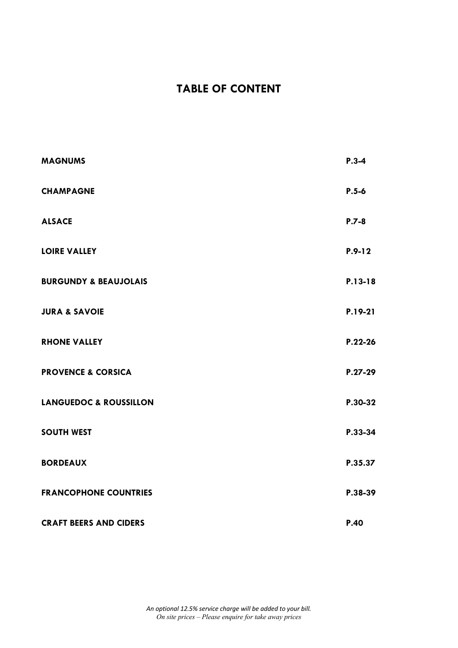# **TABLE OF CONTENT**

| <b>MAGNUMS</b>                    | $P.3 - 4$ |
|-----------------------------------|-----------|
| <b>CHAMPAGNE</b>                  | $P.5 - 6$ |
| <b>ALSACE</b>                     | $P.7 - 8$ |
| <b>LOIRE VALLEY</b>               | $P.9-12$  |
| <b>BURGUNDY &amp; BEAUJOLAIS</b>  | P.13-18   |
| <b>JURA &amp; SAVOIE</b>          | P.19-21   |
| <b>RHONE VALLEY</b>               | $P.22-26$ |
| <b>PROVENCE &amp; CORSICA</b>     | $P.27-29$ |
| <b>LANGUEDOC &amp; ROUSSILLON</b> | P.30-32   |
| <b>SOUTH WEST</b>                 | P.33-34   |
| <b>BORDEAUX</b>                   | P.35.37   |
| <b>FRANCOPHONE COUNTRIES</b>      | P.38-39   |
| <b>CRAFT BEERS AND CIDERS</b>     | P.40      |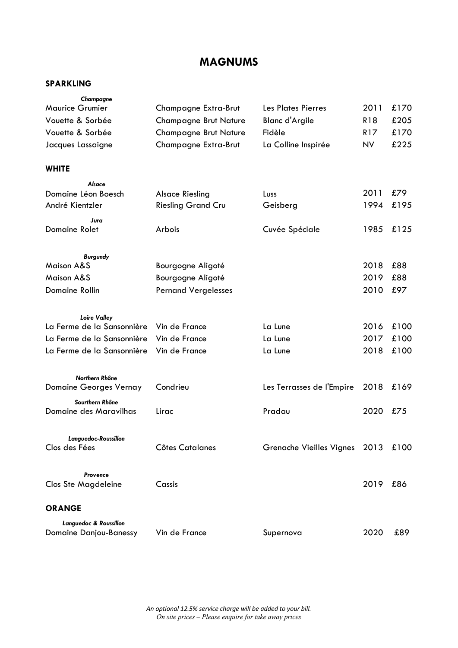## **MAGNUMS**

| Champagne                     |                              |                               |                 |      |
|-------------------------------|------------------------------|-------------------------------|-----------------|------|
| <b>Maurice Grumier</b>        | Champagne Extra-Brut         | Les Plates Pierres            | 2011            | £170 |
| Vouette & Sorbée              | <b>Champagne Brut Nature</b> | Blanc d'Argile                | <b>R18</b>      | £205 |
| Vouette & Sorbée              | <b>Champagne Brut Nature</b> | Fidèle                        | R <sub>17</sub> | £170 |
| Jacques Lassaigne             | Champagne Extra-Brut         | La Colline Inspirée           | NV.             | £225 |
| <b>WHITE</b>                  |                              |                               |                 |      |
| Alsace                        |                              |                               |                 |      |
| Domaine Léon Boesch           | <b>Alsace Riesling</b>       | Luss                          | 2011            | £79  |
| André Kientzler               | <b>Riesling Grand Cru</b>    | Geisberg                      | 1994            | £195 |
| Jura                          |                              |                               |                 |      |
| Domaine Rolet                 | Arbois                       | Cuvée Spéciale                | 1985            | £125 |
| <b>Burgundy</b>               |                              |                               |                 |      |
| <b>Maison A&amp;S</b>         | Bourgogne Aligoté            |                               | 2018            | £88  |
| <b>Maison A&amp;S</b>         | Bourgogne Aligoté            |                               | 2019            | £88  |
| Domaine Rollin                | <b>Pernand Vergelesses</b>   |                               | 2010            | £97  |
| <b>Loire Valley</b>           |                              |                               |                 |      |
| La Ferme de la Sansonnière    | Vin de France                | La Lune                       | 2016            | £100 |
| La Ferme de la Sansonnière    | Vin de France                | La Lune                       | 2017            | £100 |
| La Ferme de la Sansonnière    | Vin de France                | La Lune                       | 2018            | £100 |
|                               |                              |                               |                 |      |
| Northern Rhône                |                              |                               |                 |      |
| <b>Domaine Georges Vernay</b> | Condrieu                     | Les Terrasses de l'Empire     | 2018            | £169 |
| Sourthern Rhône               |                              |                               |                 |      |
| Domaine des Maravilhas        | Lirac                        | Pradau                        | 2020            | £75  |
| Languedoc-Roussillon          |                              |                               |                 |      |
| Clos des Fées                 | <b>Côtes Catalanes</b>       | Grenache Vieilles Vignes 2013 |                 | £100 |
| Provence                      |                              |                               |                 |      |
| <b>Clos Ste Magdeleine</b>    | Cassis                       |                               | 2019            | £86  |
| <b>ORANGE</b>                 |                              |                               |                 |      |
| Languedoc & Roussillon        |                              |                               |                 |      |
| <b>Domaine Danjou-Banessy</b> | Vin de France                | Supernova                     | 2020            | £89  |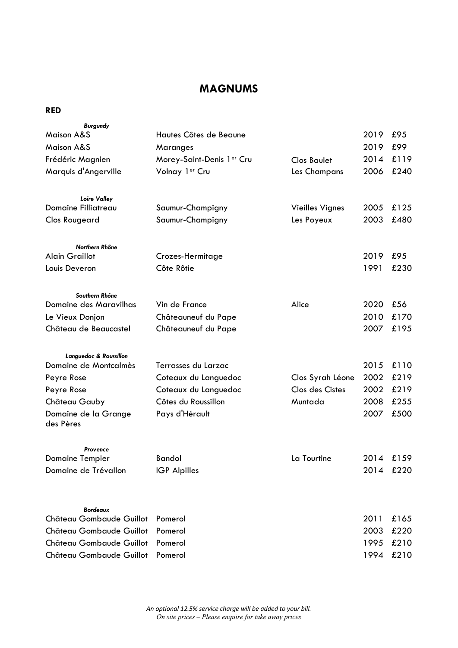## **MAGNUMS**

#### **RED**

| <b>Burgundy</b>                   |                           |                        |      |           |
|-----------------------------------|---------------------------|------------------------|------|-----------|
| <b>Maison A&amp;S</b>             | Hautes Côtes de Beaune    |                        | 2019 | £95       |
| <b>Maison A&amp;S</b>             | Maranges                  |                        | 2019 | £99       |
| Frédéric Magnien                  | Morey-Saint-Denis 1er Cru | <b>Clos Baulet</b>     | 2014 | £119      |
| Marquis d'Angerville              | Volnay 1er Cru            | Les Champans           | 2006 | £240      |
| <b>Loire Valley</b>               |                           |                        |      |           |
| Domaine Filliatreau               | Saumur-Champigny          | <b>Vieilles Vignes</b> | 2005 | £125      |
| <b>Clos Rougeard</b>              | Saumur-Champigny          | Les Poyeux             | 2003 | £480      |
| Northern Rhône                    |                           |                        |      |           |
| <b>Alain Graillot</b>             | Crozes-Hermitage          |                        | 2019 | £95       |
| Louis Deveron                     | Côte Rôtie                |                        | 1991 | £230      |
| Southern Rhône                    |                           |                        |      |           |
| Domaine des Maravilhas            | Vin de France             | Alice                  | 2020 | £56       |
| Le Vieux Donjon                   | Châteauneuf du Pape       |                        | 2010 | £170      |
| Château de Beaucastel             | Châteauneuf du Pape       |                        | 2007 | £195      |
| Languedoc & Roussillon            |                           |                        |      |           |
| Domaine de Montcalmès             | Terrasses du Larzac       |                        | 2015 | £110      |
| Peyre Rose                        | Coteaux du Languedoc      | Clos Syrah Léone       | 2002 | £219      |
| Peyre Rose                        | Coteaux du Languedoc      | Clos des Cistes        | 2002 | £219      |
| Château Gauby                     | Côtes du Roussillon       | Muntada                | 2008 | £255      |
| Domaine de la Grange<br>des Pères | Pays d'Hérault            |                        | 2007 | £500      |
| Provence                          |                           |                        |      |           |
| <b>Domaine Tempier</b>            | <b>Bandol</b>             | La Tourtine            | 2014 | £159      |
| Domaine de Trévallon              | <b>IGP Alpilles</b>       |                        |      | 2014 £220 |
|                                   |                           |                        |      |           |
| <b>Bordeaux</b>                   |                           |                        |      |           |
| Château Gombaude Guillot          | Pomerol                   |                        | 2011 | £165      |
| Château Gombaude Guillot          | Pomerol                   |                        | 2003 | £220      |
| Château Gombaude Guillot          | Pomerol                   |                        | 1995 | £210      |
| Château Gombaude Guillot          | Pomerol                   |                        | 1994 | £210      |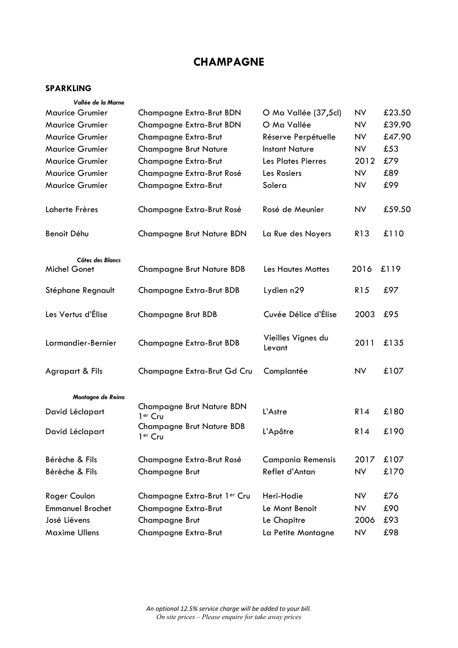# **CHAMPAGNE**

| Vallée de la Marne      |                                                         |                              |                 |        |
|-------------------------|---------------------------------------------------------|------------------------------|-----------------|--------|
| <b>Maurice Grumier</b>  | Champagne Extra-Brut BDN                                | O Ma Vallée (37,5cl)         | <b>NV</b>       | £23.50 |
| <b>Maurice Grumier</b>  | Champagne Extra-Brut BDN                                | O Ma Vallée                  | <b>NV</b>       | £39.90 |
| <b>Maurice Grumier</b>  | Champagne Extra-Brut                                    | Réserve Perpétuelle          | <b>NV</b>       | £47.90 |
| <b>Maurice Grumier</b>  | <b>Champagne Brut Nature</b>                            | <b>Instant Nature</b>        | <b>NV</b>       | £53    |
| <b>Maurice Grumier</b>  | Champagne Extra-Brut                                    | Les Plates Pierres           | 2012            | £79    |
| <b>Maurice Grumier</b>  | Champagne Extra-Brut Rosé                               | Les Rosiers                  | <b>NV</b>       | £89    |
| <b>Maurice Grumier</b>  | Champagne Extra-Brut                                    | Solera                       | <b>NV</b>       | £99    |
| Laherte Frères          | Champagne Extra-Brut Rosé                               | Rosé de Meunier              | NV              | £59.50 |
| Benoit Déhu             | Champagne Brut Nature BDN                               | La Rue des Noyers            | R13             | £110   |
| Côtes des Blancs        |                                                         |                              |                 |        |
| Michel Gonet            | <b>Champagne Brut Nature BDB</b>                        | <b>Les Hautes Mottes</b>     | 2016            | £119   |
| Stéphane Regnault       | Champagne Extra-Brut BDB                                | Lydien n29                   | R <sub>15</sub> | £97    |
| Les Vertus d'Élise      | Champagne Brut BDB                                      | Cuvée Délice d'Élise         | 2003            | £95    |
| Larmandier-Bernier      | Champagne Extra-Brut BDB                                | Vieilles Vignes du<br>Levant | 2011            | £135   |
| Agrapart & Fils         | Champagne Extra-Brut Gd Cru                             | Complantée                   | <b>NV</b>       | £107   |
| Montagne de Reims       |                                                         |                              |                 |        |
| David Léclapart         | Champagne Brut Nature BDN<br>1 <sup>er</sup> Cru        | L'Astre                      | R14             | £180   |
| David Léclapart         | <b>Champagne Brut Nature BDB</b><br>1 <sup>er</sup> Cru | L'Apôtre                     | R14             | £190   |
| Bérèche & Fils          | Champagne Extra-Brut Rosé                               | <b>Campania Remensis</b>     | 2017            | £107   |
| Bérèche & Fils          | Champagne Brut                                          | Reflet d'Antan               | <b>NV</b>       | £170   |
| Roger Coulon            | Champagne Extra-Brut 1er Cru                            | Heri-Hodie                   | NV              | £76    |
| <b>Emmanuel Brochet</b> | Champagne Extra-Brut                                    | Le Mont Benoit               | <b>NV</b>       | £90    |
| José Liévens            | Champagne Brut                                          | Le Chapitre                  | 2006            | £93    |
| <b>Maxime Ullens</b>    | Champagne Extra-Brut                                    | La Petite Montagne           | NV              | £98    |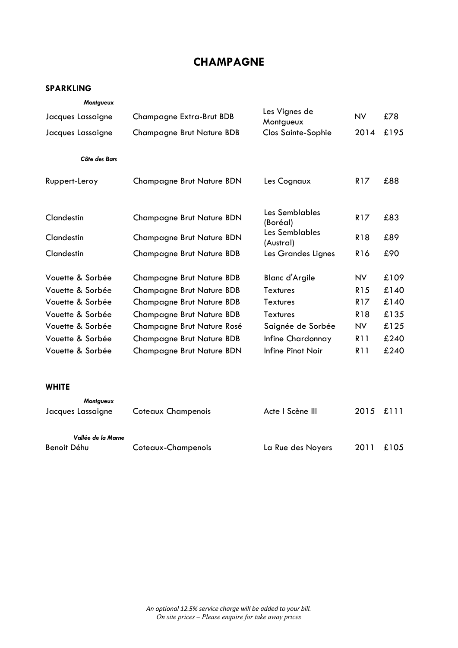## **CHAMPAGNE**

| Montgueux          |                                  |                             |                 |      |
|--------------------|----------------------------------|-----------------------------|-----------------|------|
| Jacques Lassaigne  | Champagne Extra-Brut BDB         | Les Vignes de<br>Montgueux  | <b>NV</b>       | £78  |
| Jacques Lassaigne  | <b>Champagne Brut Nature BDB</b> | <b>Clos Sainte-Sophie</b>   | 2014            | £195 |
| Côte des Bars      |                                  |                             |                 |      |
| Ruppert-Leroy      | Champagne Brut Nature BDN        | Les Cognaux                 | <b>R17</b>      | £88  |
| Clandestin         | Champagne Brut Nature BDN        | Les Semblables<br>(Boréal)  | R <sub>17</sub> | £83  |
| Clandestin         | Champagne Brut Nature BDN        | Les Semblables<br>(Austral) | R18             | £89  |
| Clandestin         | <b>Champagne Brut Nature BDB</b> | Les Grandes Lignes          | R <sub>16</sub> | £90  |
| Vouette & Sorbée   | <b>Champagne Brut Nature BDB</b> | <b>Blanc d'Argile</b>       | <b>NV</b>       | £109 |
| Vouette & Sorbée   | <b>Champagne Brut Nature BDB</b> | <b>Textures</b>             | R <sub>15</sub> | £140 |
| Vouette & Sorbée   | <b>Champagne Brut Nature BDB</b> | <b>Textures</b>             | <b>R17</b>      | £140 |
| Vouette & Sorbée   | <b>Champagne Brut Nature BDB</b> | Textures                    | <b>R18</b>      | £135 |
| Vouette & Sorbée   | Champagne Brut Nature Rosé       | Saignée de Sorbée           | <b>NV</b>       | £125 |
| Vouette & Sorbée   | <b>Champagne Brut Nature BDB</b> | Infine Chardonnay           | <b>R11</b>      | £240 |
| Vouette & Sorbée   | <b>Champagne Brut Nature BDN</b> | Infine Pinot Noir           | <b>R11</b>      | £240 |
| <b>WHITE</b>       |                                  |                             |                 |      |
| Montgueux          |                                  |                             |                 |      |
| Jacques Lassaigne  | Coteaux Champenois               | Acte I Scène III            | 2015            | £111 |
| Vallée de la Marne |                                  |                             |                 |      |
| Benoit Déhu        | Coteaux-Champenois               | La Rue des Noyers           | 2011            | £105 |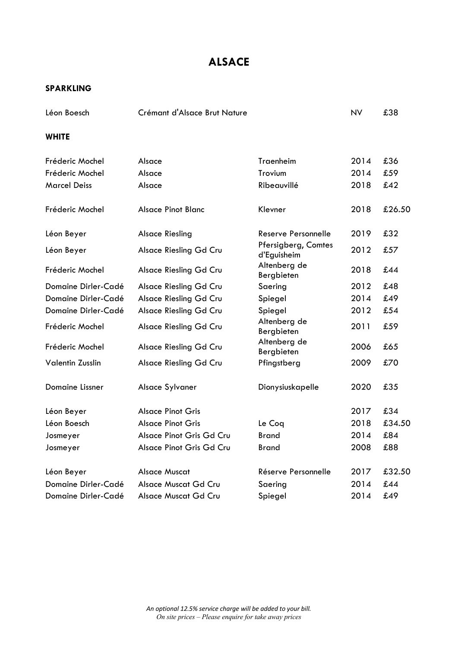# **ALSACE**

| Léon Boesch         |                    | Crémant d'Alsace Brut Nature |      | £38    |
|---------------------|--------------------|------------------------------|------|--------|
| <b>WHITE</b>        |                    |                              |      |        |
| Fréderic Mochel     | Alsace             | Traenheim                    | 2014 | £36    |
| Fréderic Mochel     | Alsace             | Trovium                      | 2014 | £59    |
| <b>Marcel Deiss</b> | Alsace             | Ribeauvillé                  | 2018 | £42    |
| Fréderic Mochel     | Alsace Pinot Blanc | Klevner                      | 2018 | £26.50 |

| Léon Beyer              | <b>Alsace Riesling</b>   | Reserve Personnelle                | 2019 | £32    |
|-------------------------|--------------------------|------------------------------------|------|--------|
| Léon Beyer              | Alsace Riesling Gd Cru   | Pfersigberg, Comtes<br>d'Eguisheim | 2012 | £57    |
| Fréderic Mochel         | Alsace Riesling Gd Cru   | Altenberg de<br>Bergbieten         | 2018 | £44    |
| Domaine Dirler-Cadé     | Alsace Riesling Gd Cru   | Saering                            | 2012 | £48    |
| Domaine Dirler-Cadé     | Alsace Riesling Gd Cru   | Spiegel                            | 2014 | £49    |
| Domaine Dirler-Cadé     | Alsace Riesling Gd Cru   | Spiegel                            | 2012 | £54    |
| Fréderic Mochel         | Alsace Riesling Gd Cru   | Altenberg de<br>Bergbieten         | 2011 | £59    |
| Fréderic Mochel         | Alsace Riesling Gd Cru   | Altenberg de<br>Bergbieten         | 2006 | £65    |
| <b>Valentin Zusslin</b> | Alsace Riesling Gd Cru   | Pfingstberg                        | 2009 | £70    |
| Domaine Lissner         | Alsace Sylvaner          | Dionysiuskapelle                   | 2020 | £35    |
| Léon Beyer              | <b>Alsace Pinot Gris</b> |                                    | 2017 | £34    |
| Léon Boesch             | Alsace Pinot Gris        | Le Cog                             | 2018 | £34.50 |
| Josmeyer                | Alsace Pinot Gris Gd Cru | <b>Brand</b>                       | 2014 | £84    |
| Josmeyer                | Alsace Pinot Gris Gd Cru | <b>Brand</b>                       | 2008 | £88    |
| Léon Beyer              | <b>Alsace Muscat</b>     | Réserve Personnelle                | 2017 | £32.50 |
| Domaine Dirler-Cadé     | Alsace Muscat Gd Cru     | Saering                            | 2014 | £44    |
| Domaine Dirler-Cadé     | Alsace Muscat Gd Cru     | Spiegel                            | 2014 | £49    |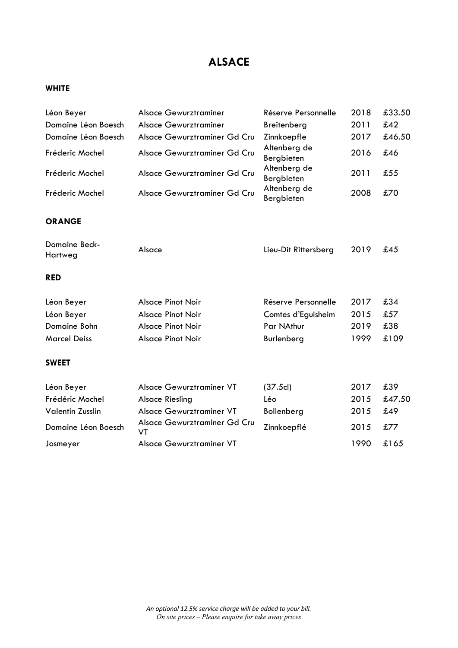# **ALSACE**

## **WHITE**

| Léon Beyer               | <b>Alsace Gewurztraminer</b>       | Réserve Personnelle        | 2018 | £33.50 |
|--------------------------|------------------------------------|----------------------------|------|--------|
| Domaine Léon Boesch      | Alsace Gewurztraminer              | Breitenberg                | 2011 | £42    |
| Domaine Léon Boesch      | Alsace Gewurztraminer Gd Cru       | Zinnkoepfle                | 2017 | £46.50 |
| Fréderic Mochel          | Alsace Gewurztraminer Gd Cru       | Altenberg de<br>Bergbieten | 2016 | £46    |
| Fréderic Mochel          | Alsace Gewurztraminer Gd Cru       | Altenberg de<br>Bergbieten | 2011 | £55    |
| Fréderic Mochel          | Alsace Gewurztraminer Gd Cru       | Altenberg de<br>Bergbieten | 2008 | £70    |
| <b>ORANGE</b>            |                                    |                            |      |        |
| Domaine Beck-<br>Hartweg | Alsace                             | Lieu-Dit Rittersberg       | 2019 | £45    |
| <b>RED</b>               |                                    |                            |      |        |
| Léon Beyer               | <b>Alsace Pinot Noir</b>           | Réserve Personnelle        | 2017 | £34    |
| Léon Beyer               | <b>Alsace Pinot Noir</b>           | Comtes d'Eguisheim         | 2015 | £57    |
| Domaine Bohn             | <b>Alsace Pinot Noir</b>           | Par NAthur                 | 2019 | £38    |
| <b>Marcel Deiss</b>      | <b>Alsace Pinot Noir</b>           | Burlenberg                 | 1999 | £109   |
| <b>SWEET</b>             |                                    |                            |      |        |
| Léon Beyer               | Alsace Gewurztraminer VT           | (37.5c)                    | 2017 | £39    |
| Frédéric Mochel          | <b>Alsace Riesling</b>             | Léo                        | 2015 | £47.50 |
| Valentin Zusslin         | Alsace Gewurztraminer VT           | Bollenberg                 | 2015 | £49    |
| Domaine Léon Boesch      | Alsace Gewurztraminer Gd Cru<br>VT | Zinnkoepflé                | 2015 | £77    |
| Josmeyer                 | Alsace Gewurztraminer VT           |                            | 1990 | £165   |
|                          |                                    |                            |      |        |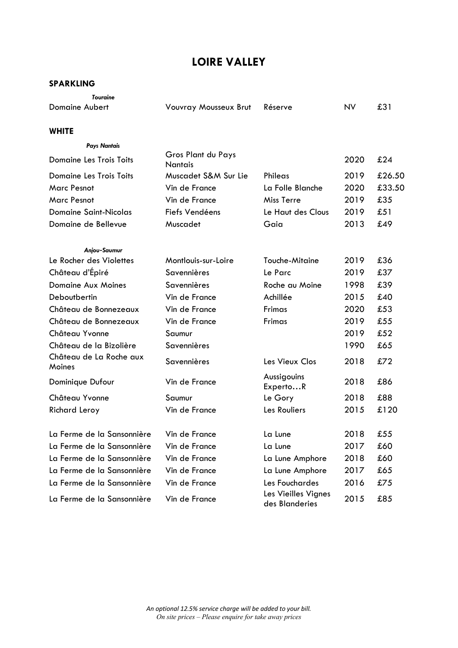| <b>Touraine</b>                   |                                      |                                       |           |        |
|-----------------------------------|--------------------------------------|---------------------------------------|-----------|--------|
| <b>Domaine Aubert</b>             | <b>Vouvray Mousseux Brut</b>         | Réserve                               | <b>NV</b> | £31    |
| <b>WHITE</b>                      |                                      |                                       |           |        |
| <b>Pays Nantais</b>               |                                      |                                       |           |        |
| <b>Domaine Les Trois Toits</b>    | Gros Plant du Pays<br><b>Nantais</b> |                                       | 2020      | £24    |
| <b>Domaine Les Trois Toits</b>    | Muscadet S&M Sur Lie                 | Phileas                               | 2019      | £26.50 |
| <b>Marc Pesnot</b>                | Vin de France                        | La Folle Blanche                      | 2020      | £33.50 |
| <b>Marc Pesnot</b>                | Vin de France                        | <b>Miss Terre</b>                     | 2019      | £35    |
| <b>Domaine Saint-Nicolas</b>      | Fiefs Vendéens                       | Le Haut des Clous                     | 2019      | £51    |
| Domaine de Bellevue               | Muscadet                             | Gaia                                  | 2013      | £49    |
| Anjou-Saumur                      |                                      |                                       |           |        |
| Le Rocher des Violettes           | Montlouis-sur-Loire                  | <b>Touche-Mitaine</b>                 | 2019      | £36    |
| Château d'Épiré                   | Savennières                          | Le Parc                               | 2019      | £37    |
| <b>Domaine Aux Moines</b>         | Savennières                          | Roche au Moine                        | 1998      | £39    |
| Deboutbertin                      | Vin de France                        | Achillée                              | 2015      | £40    |
| Château de Bonnezeaux             | Vin de France                        | Frimas                                | 2020      | £53    |
| Château de Bonnezeaux             | Vin de France                        | Frimas                                | 2019      | £55    |
| Château Yvonne                    | Saumur                               |                                       | 2019      | £52    |
| Château de la Bizolière           | Savennières                          |                                       | 1990      | £65    |
| Château de La Roche aux<br>Moines | Savennières                          | Les Vieux Clos                        | 2018      | £72    |
| Dominique Dufour                  | Vin de France                        | Aussigouins<br>ExpertoR               | 2018      | £86    |
| Château Yvonne                    | Saumur                               | Le Gory                               | 2018      | £88    |
| <b>Richard Leroy</b>              | Vin de France                        | Les Rouliers                          | 2015      | £120   |
| La Ferme de la Sansonnière        | Vin de France                        | La Lune                               | 2018      | £55    |
| La Ferme de la Sansonnière        | Vin de France                        | La Lune                               | 2017      | £60    |
| La Ferme de la Sansonnière        | Vin de France                        | La Lune Amphore                       | 2018      | £60    |
| La Ferme de la Sansonnière        | Vin de France                        | La Lune Amphore                       | 2017      | £65    |
| La Ferme de la Sansonnière        | Vin de France                        | Les Fouchardes                        | 2016      | £75    |
| La Ferme de la Sansonnière        | Vin de France                        | Les Vieilles Vignes<br>des Blanderies | 2015      | £85    |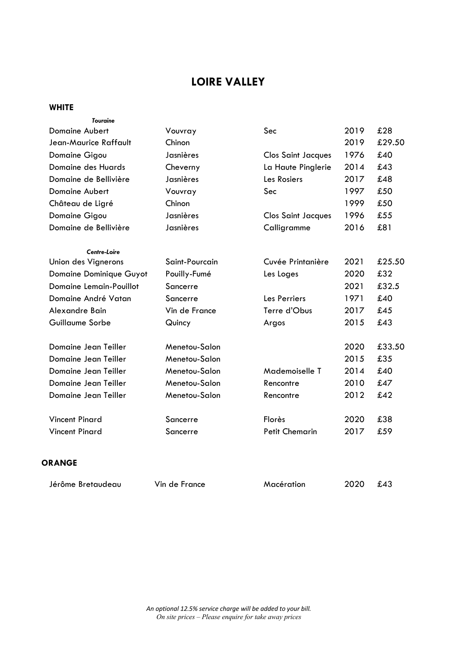## **WHITE**

| <b>Touraine</b>                |                |                           |      |        |
|--------------------------------|----------------|---------------------------|------|--------|
| <b>Domaine Aubert</b>          | Vouvray        | Sec                       | 2019 | £28    |
| Jean-Maurice Raffault          | Chinon         |                           | 2019 | £29.50 |
| Domaine Gigou                  | Jasnières      | <b>Clos Saint Jacques</b> | 1976 | £40    |
| Domaine des Huards             | Cheverny       | La Haute Pinglerie        | 2014 | £43    |
| Domaine de Bellivière          | Jasnières      | Les Rosiers               | 2017 | £48    |
| <b>Domaine Aubert</b>          | Vouvray        | Sec                       | 1997 | £50    |
| Château de Ligré               | Chinon         |                           | 1999 | £50    |
| Domaine Gigou                  | Jasnières      | <b>Clos Saint Jacques</b> | 1996 | £55    |
| Domaine de Bellivière          | Jasnières      | Calligramme               | 2016 | £81    |
| Centre-Loire                   |                |                           |      |        |
| Union des Vignerons            | Saint-Pourcain | Cuvée Printanière         | 2021 | £25.50 |
| <b>Domaine Dominique Guyot</b> | Pouilly-Fumé   | Les Loges                 | 2020 | £32    |
| <b>Domaine Lemain-Pouillot</b> | Sancerre       |                           | 2021 | £32.5  |
| Domaine André Vatan            | Sancerre       | Les Perriers              | 1971 | £40    |
| Alexandre Bain                 | Vin de France  | Terre d'Obus              | 2017 | £45    |
| Guillaume Sorbe                | Quincy         | Argos                     | 2015 | £43    |
| Domaine Jean Teiller           | Menetou-Salon  |                           | 2020 | £33.50 |
| Domaine Jean Teiller           | Menetou-Salon  |                           | 2015 | £35    |
| Domaine Jean Teiller           | Menetou-Salon  | Mademoiselle T            | 2014 | £40    |
| Domaine Jean Teiller           | Menetou-Salon  | Rencontre                 | 2010 | £47    |
| Domaine Jean Teiller           | Menetou-Salon  | Rencontre                 | 2012 | £42    |
| <b>Vincent Pinard</b>          | Sancerre       | Florès                    | 2020 | £38    |
| <b>Vincent Pinard</b>          | Sancerre       | <b>Petit Chemarin</b>     | 2017 | £59    |
|                                |                |                           |      |        |

## **ORANGE**

| Jérôme Bretaudeau | Vin de France | Macération | 2020 | £43 |
|-------------------|---------------|------------|------|-----|
|-------------------|---------------|------------|------|-----|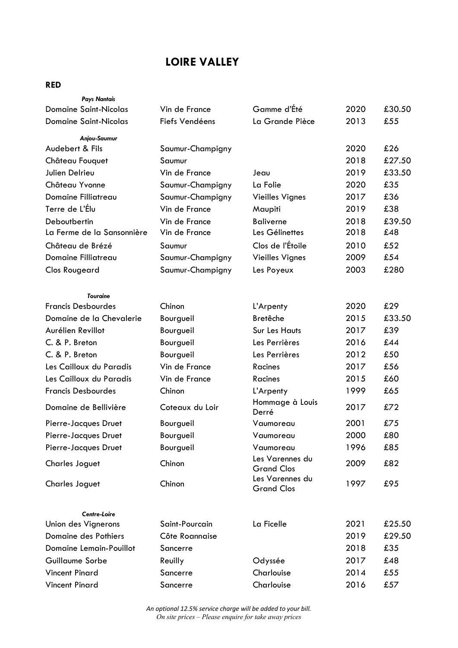## **RED**

| <b>Pays Nantais</b>                 |                  |                                      |      |        |
|-------------------------------------|------------------|--------------------------------------|------|--------|
| <b>Domaine Saint-Nicolas</b>        | Vin de France    | Gamme d'Été                          | 2020 | £30.50 |
| <b>Domaine Saint-Nicolas</b>        | Fiefs Vendéens   | La Grande Pièce                      | 2013 | £55    |
| Anjou-Saumur                        |                  |                                      |      |        |
| Audebert & Fils                     | Saumur-Champigny |                                      | 2020 | £26    |
| Château Fouquet                     | Saumur           |                                      | 2018 | £27.50 |
| Julien Delrieu                      | Vin de France    | Jeau                                 | 2019 | £33.50 |
| Château Yvonne                      | Saumur-Champigny | La Folie                             | 2020 | £35    |
| Domaine Filliatreau                 | Saumur-Champigny | <b>Vieilles Vignes</b>               | 2017 | £36    |
| Terre de L'Élu                      | Vin de France    | Maupiti                              | 2019 | £38    |
| Deboutbertin                        | Vin de France    | <b>Baliverne</b>                     | 2018 | £39.50 |
| La Ferme de la Sansonnière          | Vin de France    | Les Gélinettes                       | 2018 | £48    |
| Château de Brézé                    | Saumur           | Clos de l'Étoile                     | 2010 | £52    |
| Domaine Filliatreau                 | Saumur-Champigny | <b>Vieilles Vignes</b>               | 2009 | £54    |
| <b>Clos Rougeard</b>                | Saumur-Champigny | Les Poyeux                           | 2003 | £280   |
| <b>Touraine</b>                     |                  |                                      |      |        |
| <b>Francis Desbourdes</b>           | Chinon           | L'Arpenty                            | 2020 | £29    |
| Domaine de la Chevalerie            | Bourgueil        | <b>Bretêche</b>                      | 2015 | £33.50 |
| Aurélien Revillot                   | Bourgueil        | <b>Sur Les Hauts</b>                 | 2017 | £39    |
| C. & P. Breton                      | Bourgueil        | Les Perrières                        | 2016 | £44    |
| C. & P. Breton                      | Bourgueil        | Les Perrières                        | 2012 | £50    |
| Les Cailloux du Paradis             | Vin de France    | <b>Racines</b>                       | 2017 | £56    |
| Les Cailloux du Paradis             | Vin de France    | <b>Racines</b>                       | 2015 | £60    |
| <b>Francis Desbourdes</b>           | Chinon           | L'Arpenty                            | 1999 | £65    |
| Domaine de Bellivière               | Coteaux du Loir  | Hommage à Louis<br>Derré             | 2017 | £72    |
| Pierre-Jacques Druet                | Bourgueil        | Vaumoreau                            | 2001 | £75    |
| Pierre-Jacques Druet                | Bourgueil        | Vaumoreau                            | 2000 | £80    |
| Pierre-Jacques Druet                | Bourgueil        | Vaumoreau                            | 1996 | £85    |
| <b>Charles Joguet</b>               | Chinon           | Les Varennes du<br><b>Grand Clos</b> | 2009 | £82    |
| <b>Charles Joguet</b>               | Chinon           | Les Varennes du<br><b>Grand Clos</b> | 1997 | £95    |
|                                     |                  |                                      |      |        |
| Centre-Loire<br>Union des Vignerons | Saint-Pourcain   | La Ficelle                           | 2021 | £25.50 |
| Domaine des Pothiers                | Côte Roannaise   |                                      | 2019 | £29.50 |
| <b>Domaine Lemain-Pouillot</b>      | Sancerre         |                                      | 2018 | £35    |
| Guillaume Sorbe                     | Reuilly          | Odyssée                              | 2017 | £48    |
| <b>Vincent Pinard</b>               | Sancerre         | Charlouise                           | 2014 | £55    |
| <b>Vincent Pinard</b>               | Sancerre         | Charlouise                           | 2016 | £57    |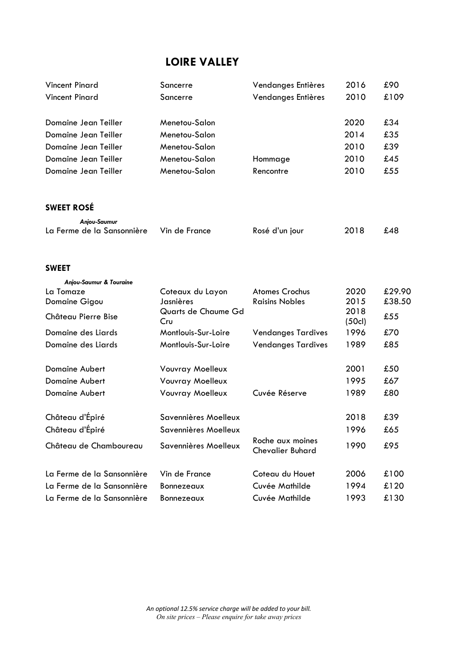| <b>Vincent Pinard</b>                | Sancerre                   | Vendanges Entières                          | 2016          | £90    |
|--------------------------------------|----------------------------|---------------------------------------------|---------------|--------|
| <b>Vincent Pinard</b>                | Sancerre                   | Vendanges Entières                          | 2010          | £109   |
| Domaine Jean Teiller                 | Menetou-Salon              |                                             | 2020          | £34    |
| Domaine Jean Teiller                 | Menetou-Salon              |                                             | 2014          | £35    |
| Domaine Jean Teiller                 | Menetou-Salon              |                                             | 2010          | £39    |
| Domaine Jean Teiller                 | Menetou-Salon              | Hommage                                     | 2010          | £45    |
| Domaine Jean Teiller                 | Menetou-Salon              | Rencontre                                   | 2010          | £55    |
| <b>SWEET ROSÉ</b>                    |                            |                                             |               |        |
| Anjou-Saumur                         |                            |                                             |               |        |
| La Ferme de la Sansonnière           | Vin de France              | Rosé d'un jour                              | 2018          | £48    |
| <b>SWEET</b>                         |                            |                                             |               |        |
|                                      |                            |                                             |               |        |
| Anjou-Saumur & Touraine<br>La Tomaze | Coteaux du Layon           | <b>Atomes Crochus</b>                       | 2020          | £29.90 |
| Domaine Gigou                        | Jasnières                  | <b>Raisins Nobles</b>                       | 2015          | £38.50 |
| Château Pierre Bise                  | Quarts de Chaume Gd<br>Cru |                                             | 2018<br>(50c) | £55    |
| Domaine des Liards                   | Montlouis-Sur-Loire        | <b>Vendanges Tardives</b>                   | 1996          | £70    |
| Domaine des Liards                   | Montlouis-Sur-Loire        | <b>Vendanges Tardives</b>                   | 1989          | £85    |
| Domaine Aubert                       | <b>Vouvray Moelleux</b>    |                                             | 2001          | £50    |
| Domaine Aubert                       | Vouvray Moelleux           |                                             | 1995          | £67    |
| <b>Domaine Aubert</b>                | <b>Vouvray Moelleux</b>    | Cuvée Réserve                               | 1989          | £80    |
| Château d'Épiré                      | Savennières Moelleux       |                                             | 2018          | £39    |
| Château d'Épiré                      | Savennières Moelleux       |                                             | 1996          | £65    |
| Château de Chamboureau               | Savennières Moelleux       | Roche aux moines<br><b>Chevalier Buhard</b> | 1990          | £95    |
| La Ferme de la Sansonnière           | Vin de France              | Coteau du Houet                             | 2006          | £100   |
| La Ferme de la Sansonnière           | Bonnezeaux                 | Cuvée Mathilde                              | 1994          | £120   |
| La Ferme de la Sansonnière           | Bonnezeaux                 | Cuvée Mathilde                              | 1993          | £130   |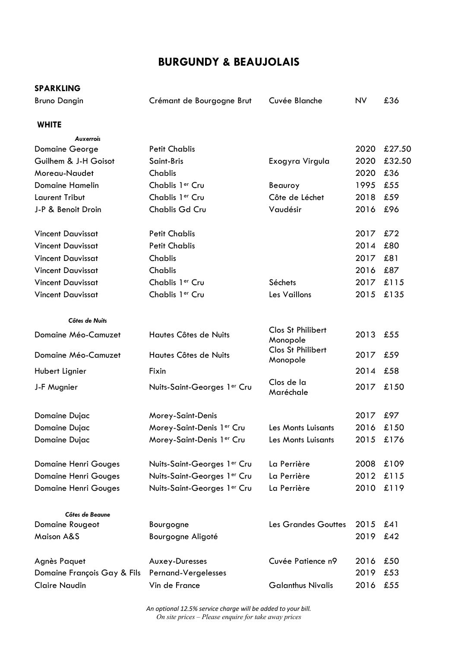# **BURGUNDY & BEAUJOLAIS**

## **SPARKLING**

| .                   |                           |               |           |     |
|---------------------|---------------------------|---------------|-----------|-----|
| <b>Bruno Dangin</b> | Crémant de Bourgogne Brut | Cuvée Blanche | <b>NV</b> | £36 |

## **WHITE**

| <b>Auxerrois</b>            |                             |                               |      |        |
|-----------------------------|-----------------------------|-------------------------------|------|--------|
| <b>Domaine George</b>       | <b>Petit Chablis</b>        |                               | 2020 | £27.50 |
| Guilhem & J-H Goisot        | Saint-Bris                  | Exogyra Virgula               | 2020 | £32.50 |
| Moreau-Naudet               | Chablis                     |                               | 2020 | £36    |
| <b>Domaine Hamelin</b>      | Chablis 1er Cru             | Beauroy                       | 1995 | £55    |
| Laurent Tribut              | Chablis 1er Cru             | Côte de Léchet                | 2018 | £59    |
| J-P & Benoit Droin          | Chablis Gd Cru              | Vaudésir                      | 2016 | £96    |
| <b>Vincent Dauvissat</b>    | <b>Petit Chablis</b>        |                               | 2017 | £72    |
| <b>Vincent Dauvissat</b>    | <b>Petit Chablis</b>        |                               | 2014 | £80    |
| <b>Vincent Dauvissat</b>    | <b>Chablis</b>              |                               | 2017 | £81    |
| <b>Vincent Dauvissat</b>    | Chablis                     |                               | 2016 | £87    |
| <b>Vincent Dauvissat</b>    | Chablis 1er Cru             | Séchets                       | 2017 | £115   |
| <b>Vincent Dauvissat</b>    | Chablis 1er Cru             | Les Vaillons                  | 2015 | £135   |
| Côtes de Nuits              |                             |                               |      |        |
| Domaine Méo-Camuzet         | Hautes Côtes de Nuits       | Clos St Philibert<br>Monopole | 2013 | £55    |
| Domaine Méo-Camuzet         | Hautes Côtes de Nuits       | Clos St Philibert<br>Monopole | 2017 | £59    |
| Hubert Lignier              | Fixin                       |                               | 2014 | £58    |
| J-F Mugnier                 | Nuits-Saint-Georges 1er Cru | Clos de la<br>Maréchale       | 2017 | £150   |
| Domaine Dujac               | Morey-Saint-Denis           |                               | 2017 | £97    |
| Domaine Dujac               | Morey-Saint-Denis 1er Cru   | Les Monts Luisants            | 2016 | £150   |
| Domaine Dujac               | Morey-Saint-Denis 1er Cru   | Les Monts Luisants            | 2015 | £176   |
| <b>Domaine Henri Gouges</b> | Nuits-Saint-Georges 1er Cru | La Perrière                   | 2008 | £109   |
| <b>Domaine Henri Gouges</b> | Nuits-Saint-Georges 1er Cru | La Perrière                   | 2012 | £115   |
| <b>Domaine Henri Gouges</b> | Nuits-Saint-Georges 1er Cru | La Perrière                   | 2010 | £119   |
| Côtes de Beaune             |                             |                               |      |        |
| Domaine Rougeot             | Bourgogne                   | Les Grandes Gouttes           | 2015 | £41    |
| <b>Maison A&amp;S</b>       | Bourgogne Aligoté           |                               | 2019 | £42    |
| Agnès Paquet                | Auxey-Duresses              | Cuvée Patience n9             | 2016 | £50    |
| Domaine François Gay & Fils | Pernand-Vergelesses         |                               | 2019 | £53    |
| <b>Claire Naudin</b>        | Vin de France               | <b>Galanthus Nivalis</b>      | 2016 | £55    |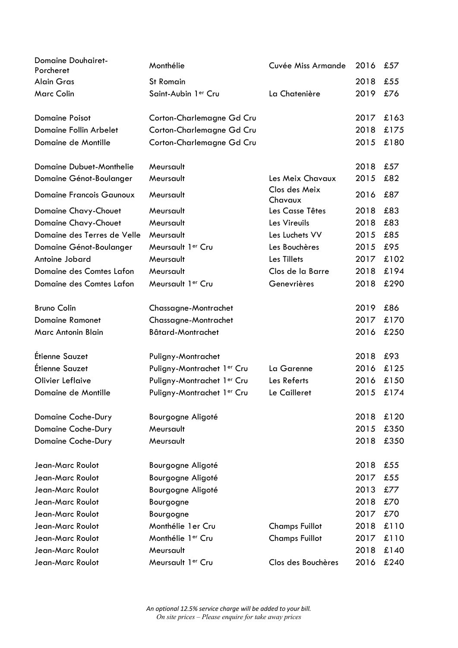| <b>Domaine Douhairet-</b><br>Porcheret | Monthélie                     | Cuvée Miss Armande       | 2016 | £57  |
|----------------------------------------|-------------------------------|--------------------------|------|------|
| <b>Alain Gras</b>                      | <b>St Romain</b>              |                          | 2018 | £55  |
| <b>Marc Colin</b>                      | Saint-Aubin 1er Cru           | La Chatenière            | 2019 | £76  |
| <b>Domaine Poisot</b>                  | Corton-Charlemagne Gd Cru     |                          | 2017 | £163 |
| Domaine Follin Arbelet                 | Corton-Charlemagne Gd Cru     |                          | 2018 | £175 |
| Domaine de Montille                    | Corton-Charlemagne Gd Cru     |                          | 2015 | £180 |
| Domaine Dubuet-Monthelie               | Meursault                     |                          | 2018 | £57  |
| Domaine Génot-Boulanger                | Meursault                     | Les Meix Chavaux         | 2015 | £82  |
| <b>Domaine Francois Gaunoux</b>        | Meursault                     | Clos des Meix<br>Chavaux | 2016 | £87  |
| <b>Domaine Chavy-Chouet</b>            | Meursault                     | Les Casse Têtes          | 2018 | £83  |
| <b>Domaine Chavy-Chouet</b>            | Meursault                     | Les Vireuils             | 2018 | £83  |
| Domaine des Terres de Velle            | Meursault                     | Les Luchets VV           | 2015 | £85  |
| Domaine Génot-Boulanger                | Meursault 1er Cru             | Les Bouchères            | 2015 | £95  |
| Antoine Jobard                         | Meursault                     | Les Tillets              | 2017 | £102 |
| Domaine des Comtes Lafon               | Meursault                     | Clos de la Barre         | 2018 | £194 |
| Domaine des Comtes Lafon               | Meursault 1er Cru             | Genevrières              | 2018 | £290 |
| <b>Bruno Colin</b>                     | Chassagne-Montrachet          |                          | 2019 | £86  |
| <b>Domaine Ramonet</b>                 | Chassagne-Montrachet          |                          | 2017 | £170 |
| Marc Antonin Blain                     | Bâtard-Montrachet             |                          | 2016 | £250 |
| Étienne Sauzet                         | Puligny-Montrachet            |                          | 2018 | £93  |
| Étienne Sauzet                         | Puligny-Montrachet 1er Cru    | La Garenne               | 2016 | £125 |
| <b>Olivier Leflaive</b>                | Puligny-Montrachet 1er Cru    | Les Referts              | 2016 | £150 |
| Domaine de Montille                    | Puligny-Montrachet 1er Cru    | Le Cailleret             | 2015 | £174 |
| Domaine Coche-Dury                     | Bourgogne Aligoté             |                          | 2018 | £120 |
| Domaine Coche-Dury                     | Meursault                     |                          | 2015 | £350 |
| Domaine Coche-Dury                     | Meursault                     |                          | 2018 | £350 |
| Jean-Marc Roulot                       | Bourgogne Aligoté             |                          | 2018 | £55  |
| Jean-Marc Roulot                       | Bourgogne Aligoté             |                          | 2017 | £55  |
| Jean-Marc Roulot                       | Bourgogne Aligoté             |                          | 2013 | £77  |
| Jean-Marc Roulot                       | Bourgogne                     |                          | 2018 | £70  |
| Jean-Marc Roulot                       | Bourgogne                     |                          | 2017 | £70  |
| Jean-Marc Roulot                       | Monthélie 1 er Cru            | <b>Champs Fuillot</b>    | 2018 | £110 |
| Jean-Marc Roulot                       | Monthélie 1 <sup>er</sup> Cru | <b>Champs Fuillot</b>    | 2017 | £110 |
| Jean-Marc Roulot                       | Meursault                     |                          | 2018 | £140 |
| Jean-Marc Roulot                       | Meursault 1er Cru             | Clos des Bouchères       | 2016 | £240 |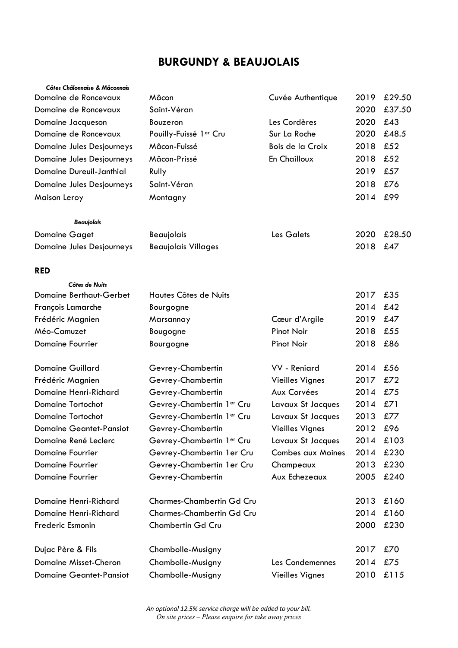# **BURGUNDY & BEAUJOLAIS**

| Côtes Châlonnaise & Mâconnais   |                            |                          |      |        |
|---------------------------------|----------------------------|--------------------------|------|--------|
| Domaine de Roncevaux            | Mâcon                      | Cuvée Authentique        | 2019 | £29.50 |
| Domaine de Roncevaux            | Saint-Véran                |                          | 2020 | £37.50 |
| Domaine Jacqueson               | Bouzeron                   | Les Cordères             | 2020 | £43    |
| Domaine de Roncevaux            | Pouilly-Fuissé ler Cru     | Sur La Roche             | 2020 | £48.5  |
| Domaine Jules Desjourneys       | Mâcon-Fuissé               | Bois de la Croix         | 2018 | £52    |
| Domaine Jules Desjourneys       | Mâcon-Prissé               | En Chailloux             | 2018 | £52    |
| <b>Domaine Dureuil-Janthial</b> | Rully                      |                          | 2019 | £57    |
| Domaine Jules Desjourneys       | Saint-Véran                |                          | 2018 | £76    |
| Maison Leroy                    | Montagny                   |                          | 2014 | £99    |
| <b>Beaujolais</b>               |                            |                          |      |        |
| <b>Domaine Gaget</b>            | Beaujolais                 | <b>Les Galets</b>        | 2020 | £28.50 |
| Domaine Jules Desjourneys       | <b>Beaujolais Villages</b> |                          | 2018 | £47    |
| <b>RED</b>                      |                            |                          |      |        |
| Côtes de Nuits                  |                            |                          |      |        |
| Domaine Berthaut-Gerbet         | Hautes Côtes de Nuits      |                          | 2017 | £35    |
| François Lamarche               | Bourgogne                  |                          | 2014 | £42    |
| Frédéric Magnien                | Marsannay                  | Cœur d'Argile            | 2019 | £47    |
| Méo-Camuzet                     | Bougogne                   | <b>Pinot Noir</b>        | 2018 | £55    |
| <b>Domaine Fourrier</b>         | Bourgogne                  | <b>Pinot Noir</b>        | 2018 | £86    |
| <b>Domaine Guillard</b>         | Gevrey-Chambertin          | VV - Reniard             | 2014 | £56    |
| Frédéric Magnien                | Gevrey-Chambertin          | <b>Vieilles Vignes</b>   | 2017 | £72    |
| Domaine Henri-Richard           | Gevrey-Chambertin          | Aux Corvées              | 2014 | £75    |
| <b>Domaine Tortochot</b>        | Gevrey-Chambertin 1er Cru  | Lavaux St Jacques        | 2014 | £71    |
| <b>Domaine Tortochot</b>        | Gevrey-Chambertin 1er Cru  | Lavaux St Jacques        | 2013 | £77    |
| <b>Domaine Geantet-Pansiot</b>  | Gevrey-Chambertin          | <b>Vieilles Vignes</b>   | 2012 | £96    |
| Domaine René Leclerc            | Gevrey-Chambertin 1er Cru  | Lavaux St Jacques        | 2014 | £103   |
| <b>Domaine Fourrier</b>         | Gevrey-Chambertin 1 er Cru | <b>Combes aux Moines</b> | 2014 | £230   |
| <b>Domaine Fourrier</b>         | Gevrey-Chambertin 1er Cru  | Champeaux                | 2013 | £230   |
| <b>Domaine Fourrier</b>         | Gevrey-Chambertin          | Aux Echezeaux            | 2005 | £240   |
| Domaine Henri-Richard           | Charmes-Chambertin Gd Cru  |                          | 2013 | £160   |
| Domaine Henri-Richard           | Charmes-Chambertin Gd Cru  |                          | 2014 | £160   |
| Frederic Esmonin                | Chambertin Gd Cru          |                          | 2000 | £230   |
| Dujac Père & Fils               | Chambolle-Musigny          |                          | 2017 | £70    |
| Domaine Misset-Cheron           | Chambolle-Musigny          | Les Condemennes          | 2014 | £75    |
| <b>Domaine Geantet-Pansiot</b>  | Chambolle-Musigny          | <b>Vieilles Vignes</b>   | 2010 | £115   |
|                                 |                            |                          |      |        |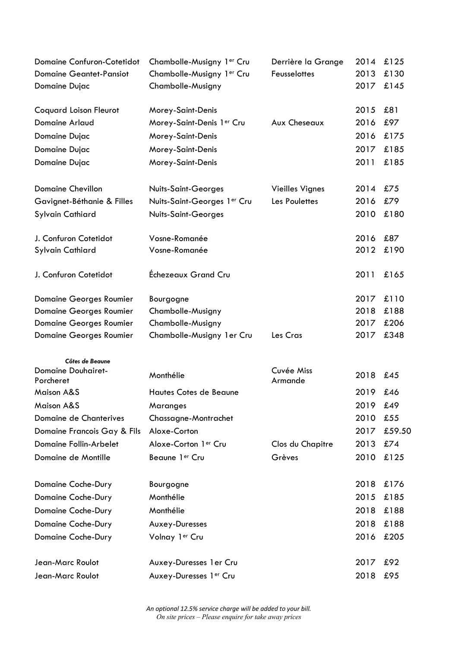| <b>Domaine Confuron-Cotetidot</b>            | Chambolle-Musigny 1er Cru   | Derrière la Grange     | 2014 | £125   |
|----------------------------------------------|-----------------------------|------------------------|------|--------|
| <b>Domaine Geantet-Pansiot</b>               | Chambolle-Musigny 1er Cru   | Feusselottes           | 2013 | £130   |
| Domaine Dujac                                | Chambolle-Musigny           |                        | 2017 | £145   |
| <b>Coquard Loison Fleurot</b>                | Morey-Saint-Denis           |                        | 2015 | £81    |
| <b>Domaine Arlaud</b>                        | Morey-Saint-Denis 1er Cru   | Aux Cheseaux           | 2016 | £97    |
| Domaine Dujac                                | Morey-Saint-Denis           |                        | 2016 | £175   |
| Domaine Dujac                                | Morey-Saint-Denis           |                        | 2017 | £185   |
| Domaine Dujac                                | Morey-Saint-Denis           |                        | 2011 | £185   |
|                                              |                             |                        |      |        |
| <b>Domaine Chevillon</b>                     | Nuits-Saint-Georges         | <b>Vieilles Vignes</b> | 2014 | £75    |
| Gavignet-Béthanie & Filles                   | Nuits-Saint-Georges 1er Cru | Les Poulettes          | 2016 | £79    |
| <b>Sylvain Cathiard</b>                      | Nuits-Saint-Georges         |                        | 2010 | £180   |
|                                              |                             |                        |      |        |
| J. Confuron Cotetidot                        | Vosne-Romanée               |                        | 2016 | £87    |
| Sylvain Cathiard                             | Vosne-Romanée               |                        | 2012 | £190   |
|                                              |                             |                        |      |        |
| J. Confuron Cotetidot                        | Échezeaux Grand Cru         |                        | 2011 | £165   |
| <b>Domaine Georges Roumier</b>               | Bourgogne                   |                        | 2017 | £110   |
| <b>Domaine Georges Roumier</b>               | Chambolle-Musigny           |                        | 2018 | £188   |
| <b>Domaine Georges Roumier</b>               | Chambolle-Musigny           |                        | 2017 | £206   |
| <b>Domaine Georges Roumier</b>               | Chambolle-Musigny 1er Cru   | Les Cras               | 2017 | £348   |
|                                              |                             |                        |      |        |
| Côtes de Beaune<br><b>Domaine Douhairet-</b> |                             | Cuvée Miss             |      |        |
| Porcheret                                    | Monthélie                   | Armande                | 2018 | £45    |
| <b>Maison A&amp;S</b>                        | Hautes Cotes de Beaune      |                        | 2019 | £46    |
| <b>Maison A&amp;S</b>                        | Maranges                    |                        | 2019 | £49    |
| Domaine de Chanterives                       | Chassagne-Montrachet        |                        | 2010 | £55    |
| Domaine Francois Gay & Fils                  | Aloxe-Corton                |                        | 2017 | £59.50 |
| Domaine Follin-Arbelet                       | Aloxe-Corton 1er Cru        | Clos du Chapitre       | 2013 | £74    |
| Domaine de Montille                          | Beaune 1er Cru              | Grèves                 | 2010 | £125   |
|                                              |                             |                        |      |        |
| Domaine Coche-Dury                           | Bourgogne                   |                        | 2018 | £176   |
| Domaine Coche-Dury                           | Monthélie                   |                        | 2015 | £185   |
| Domaine Coche-Dury                           | Monthélie                   |                        | 2018 | £188   |
| Domaine Coche-Dury                           | Auxey-Duresses              |                        | 2018 | £188   |
| Domaine Coche-Dury                           | Volnay 1er Cru              |                        | 2016 | £205   |
|                                              |                             |                        |      |        |
| Jean-Marc Roulot                             | Auxey-Duresses 1er Cru      |                        | 2017 | £92    |
| Jean-Marc Roulot                             | Auxey-Duresses 1er Cru      |                        | 2018 | £95    |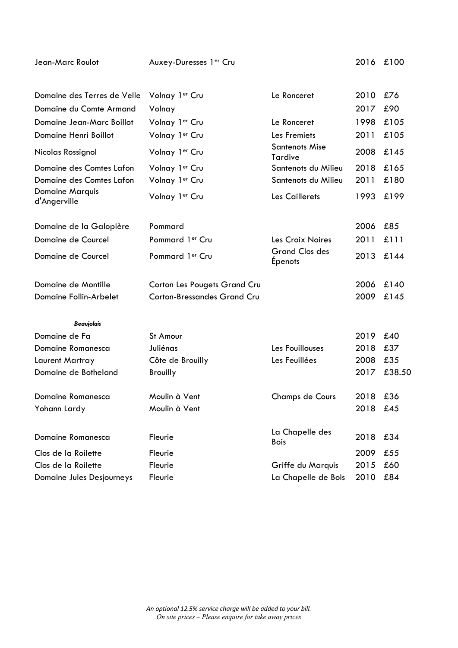| Jean-Marc Roulot                              | Auxey-Duresses 1er Cru              |                                  | 2016 | £100   |
|-----------------------------------------------|-------------------------------------|----------------------------------|------|--------|
|                                               |                                     |                                  |      |        |
| Domaine des Terres de Velle                   | Volnay 1er Cru                      | Le Ronceret                      | 2010 | £76    |
| Domaine du Comte Armand                       | Volnay                              |                                  | 2017 | £90    |
| Domaine Jean-Marc Boillot                     | Volnay 1er Cru                      | Le Ronceret                      | 1998 | £105   |
| Domaine Henri Boillot                         | Volnay 1er Cru                      | Les Fremiets                     | 2011 | £105   |
| Nicolas Rossignol                             | Volnay 1er Cru                      | <b>Santenots Mise</b><br>Tardive | 2008 | £145   |
| Domaine des Comtes Lafon                      | Volnay 1er Cru                      | Santenots du Milieu              | 2018 | £165   |
| Domaine des Comtes Lafon                      | Volnay 1er Cru                      | Santenots du Milieu              | 2011 | £180   |
| <b>Domaine Marquis</b><br>d'Angerville        | Volnay 1er Cru                      | Les Caillerets                   | 1993 | £199   |
|                                               | Pommard                             |                                  | 2006 | £85    |
| Domaine de la Galopière<br>Domaine de Courcel | Pommard 1 <sup>er</sup> Cru         | Les Croix Noires                 | 2011 | £111   |
|                                               |                                     | <b>Grand Clos des</b>            |      |        |
| Domaine de Courcel                            | Pommard 1er Cru                     | <b>Épenots</b>                   | 2013 | £144   |
| Domaine de Montille                           | <b>Corton Les Pougets Grand Cru</b> |                                  | 2006 | £140   |
| Domaine Follin-Arbelet                        | <b>Corton-Bressandes Grand Cru</b>  |                                  | 2009 | £145   |
| <b>Beaujolais</b>                             |                                     |                                  |      |        |
| Domaine de Fa                                 | St Amour                            |                                  | 2019 | £40    |
| <b>Domaine Romanesca</b>                      | Juliénas                            | Les Fouillouses                  | 2018 | £37    |
| Laurent Martray                               | Côte de Brouilly                    | Les Feuillées                    | 2008 | £35    |
| Domaine de Botheland                          | <b>Brouilly</b>                     |                                  | 2017 | £38.50 |
| Domaine Romanesca                             | Moulin à Vent                       | <b>Champs de Cours</b>           | 2018 | £36    |
| Yohann Lardy                                  | Moulin à Vent                       |                                  | 2018 | £45    |
| Domaine Romanesca                             | Fleurie                             | La Chapelle des<br><b>Bois</b>   | 2018 | £34    |
| Clos de la Roilette                           | Fleurie                             |                                  | 2009 | £55    |
| Clos de la Roilette                           | Fleurie                             | Griffe du Marquis                | 2015 | £60    |
| Domaine Jules Desjourneys                     | Fleurie                             | La Chapelle de Bois              | 2010 | £84    |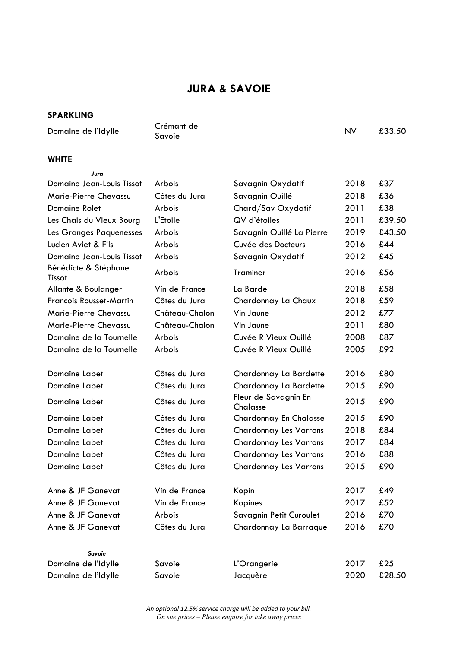# **JURA & SAVOIE**

## **SPARKLING**

Domaine de l'Idylle Crémant de<br>Savoie

*Jura*

Savoie NV £33.50

## **WHITE**

| Domaine Jean-Louis Tissot      | Arbois         | Savagnin Oxydatif                | 2018 | £37    |
|--------------------------------|----------------|----------------------------------|------|--------|
| Marie-Pierre Chevassu          | Côtes du Jura  | Savagnin Ouillé                  | 2018 | £36    |
| <b>Domaine Rolet</b>           | Arbois         | Chard/Sav Oxydatif               | 2011 | £38    |
| Les Chais du Vieux Bourg       | L'Etoile       | QV d'étoiles                     | 2011 | £39.50 |
| Les Granges Paquenesses        | Arbois         | Savagnin Ouillé La Pierre        | 2019 | £43.50 |
| Lucien Aviet & Fils            | Arbois         | Cuvée des Docteurs               | 2016 | £44    |
| Domaine Jean-Louis Tissot      | Arbois         | Savagnin Oxydatif                | 2012 | £45    |
| Bénédicte & Stéphane<br>Tissot | Arbois         | Traminer                         | 2016 | £56    |
| Allante & Boulanger            | Vin de France  | La Barde                         | 2018 | £58    |
| <b>Francois Rousset-Martin</b> | Côtes du Jura  | Chardonnay La Chaux              | 2018 | £59    |
| Marie-Pierre Chevassu          | Château-Chalon | Vin Jaune                        | 2012 | £77    |
| Marie-Pierre Chevassu          | Château-Chalon | Vin Jaune                        | 2011 | £80    |
| Domaine de la Tournelle        | Arbois         | Cuvée R Vieux Ouillé             | 2008 | £87    |
| Domaine de la Tournelle        | Arbois         | Cuvée R Vieux Ouillé             | 2005 | £92    |
| Domaine Labet                  | Côtes du Jura  | Chardonnay La Bardette           | 2016 | £80    |
| Domaine Labet                  | Côtes du Jura  | Chardonnay La Bardette           | 2015 | £90    |
| Domaine Labet                  | Côtes du Jura  | Fleur de Savagnin En<br>Chalasse | 2015 | £90    |
| Domaine Labet                  | Côtes du Jura  | Chardonnay En Chalasse           | 2015 | £90    |
| Domaine Labet                  | Côtes du Jura  | <b>Chardonnay Les Varrons</b>    | 2018 | £84    |
| Domaine Labet                  | Côtes du Jura  | <b>Chardonnay Les Varrons</b>    | 2017 | £84    |
| Domaine Labet                  | Côtes du Jura  | <b>Chardonnay Les Varrons</b>    | 2016 | £88    |
| Domaine Labet                  | Côtes du Jura  | <b>Chardonnay Les Varrons</b>    | 2015 | £90    |
| Anne & JF Ganevat              | Vin de France  | Kopin                            | 2017 | £49    |
| Anne & JF Ganevat              | Vin de France  | Kopines                          | 2017 | £52    |
| Anne & JF Ganevat              | Arbois         | Savagnin Petit Curoulet          | 2016 | £70    |
| Anne & JF Ganevat              | Côtes du Jura  | Chardonnay La Barraque           | 2016 | £70    |
| Savoie                         |                |                                  |      |        |
| Domaine de l'Idylle            | Savoie         | L'Orangerie                      | 2017 | £25    |
| Domaine de l'Idylle            | Savoie         | Jacquère                         | 2020 | £28.50 |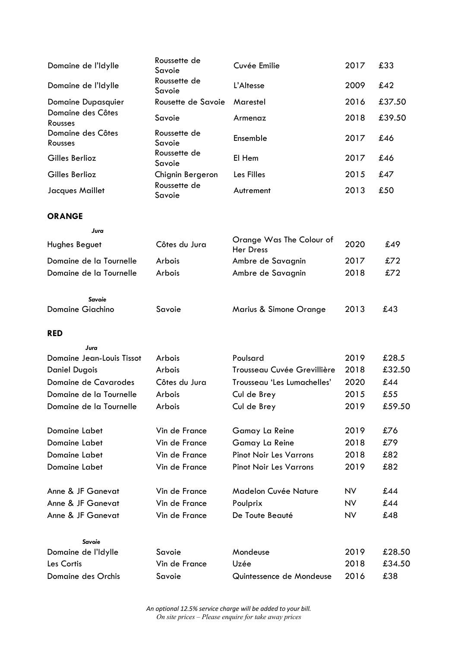| Domaine de l'Idylle               | Roussette de<br>Savoie  | Cuvée Emilie                                 | 2017         | £33           |
|-----------------------------------|-------------------------|----------------------------------------------|--------------|---------------|
| Domaine de l'Idylle               | Roussette de<br>Savoie  | L'Altesse                                    | 2009         | £42           |
| <b>Domaine Dupasquier</b>         | Rousette de Savoie      | Marestel                                     | 2016         | £37.50        |
| Domaine des Côtes<br>Rousses      | Savoie                  | Armenaz                                      | 2018         | £39.50        |
| Domaine des Côtes<br>Rousses      | Roussette de<br>Savoie  | Ensemble                                     | 2017         | £46           |
| Gilles Berlioz                    | Roussette de<br>Savoie  | El Hem                                       | 2017         | £46           |
| Gilles Berlioz                    | Chignin Bergeron        | Les Filles                                   | 2015         | £47           |
| Jacques Maillet                   | Roussette de<br>Savoie  | Autrement                                    | 2013         | £50           |
| <b>ORANGE</b>                     |                         |                                              |              |               |
| Jura                              |                         |                                              |              |               |
| Hughes Beguet                     | Côtes du Jura           | Orange Was The Colour of<br><b>Her Dress</b> | 2020         | £49           |
| Domaine de la Tournelle           | Arbois                  | Ambre de Savagnin                            | 2017         | £72           |
| Domaine de la Tournelle           | Arbois                  | Ambre de Savagnin                            | 2018         | £72           |
| Savoie<br><b>Domaine Giachino</b> | Savoie                  |                                              | 2013         | £43           |
|                                   |                         | Marius & Simone Orange                       |              |               |
| <b>RED</b>                        |                         |                                              |              |               |
| Jura                              |                         |                                              |              |               |
|                                   |                         |                                              |              |               |
| <b>Domaine Jean-Louis Tissot</b>  | Arbois                  | Poulsard                                     | 2019         | £28.5         |
| <b>Daniel Dugois</b>              | Arbois                  | Trousseau Cuvée Grevillière                  | 2018         | £32.50        |
| Domaine de Cavarodes              | Côtes du Jura           | Trousseau 'Les Lumachelles'                  | 2020         | £44           |
| Domaine de la Tournelle           | Arbois                  | Cul de Brey                                  | 2015         | £55           |
| Domaine de la Tournelle           | Arbois                  | Cul de Brey                                  | 2019         | £59.50        |
| <b>Domaine Labet</b>              | Vin de France           | Gamay La Reine                               | 2019         | £76           |
| Domaine Labet                     | Vin de France           | Gamay La Reine                               | 2018         | £79           |
| Domaine Labet                     | Vin de France           | <b>Pinot Noir Les Varrons</b>                | 2018         | £82           |
| Domaine Labet                     | Vin de France           | <b>Pinot Noir Les Varrons</b>                | 2019         | £82           |
| Anne & JF Ganevat                 | Vin de France           | <b>Madelon Cuvée Nature</b>                  | <b>NV</b>    | £44           |
| Anne & JF Ganevat                 | Vin de France           | Poulprix                                     | <b>NV</b>    | £44           |
| Anne & JF Ganevat                 | Vin de France           | De Toute Beauté                              | <b>NV</b>    | £48           |
| Savoie                            |                         |                                              |              |               |
| Domaine de l'Idylle               | Savoie                  | Mondeuse                                     | 2019         | £28.50        |
| Les Cortis<br>Domaine des Orchis  | Vin de France<br>Savoie | Uzée<br>Quintessence de Mondeuse             | 2018<br>2016 | £34.50<br>£38 |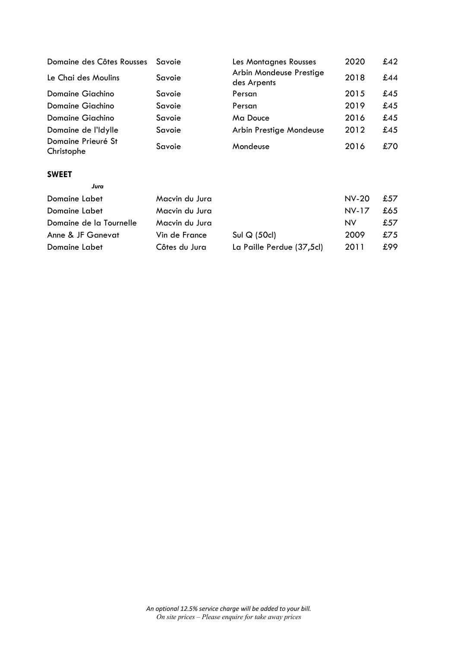| Domaine des Côtes Rousses        | Savoie | Les Montagnes Rousses                  | 2020 | £42 |
|----------------------------------|--------|----------------------------------------|------|-----|
| Le Chai des Moulins              | Savoie | Arbin Mondeuse Prestige<br>des Arpents | 2018 | £44 |
| Domaine Giachino                 | Savoie | Persan                                 | 2015 | £45 |
| Domaine Giachino                 | Savoie | Persan                                 | 2019 | £45 |
| Domaine Giachino                 | Savoie | Ma Douce                               | 2016 | £45 |
| Domaine de l'Idylle              | Savoie | Arbin Prestige Mondeuse                | 2012 | £45 |
| Domaine Prieuré St<br>Christophe | Savoie | Mondeuse                               | 2016 | £70 |
| <b>SWEET</b>                     |        |                                        |      |     |
| Jura                             |        |                                        |      |     |

| Domaine Labet           | Macvin du Jura |                           | $NV$ -20     | £57  |
|-------------------------|----------------|---------------------------|--------------|------|
| Domaine Labet           | Macvin du Jura |                           | <b>NV-17</b> | £65  |
| Domaine de la Tournelle | Macvin du Jura |                           | <b>NV</b>    | £57  |
| Anne & JF Ganevat       | Vin de France  | Sul $Q(50c)$              | 2009         | £75  |
| Domaine Labet           | Côtes du Jura  | La Paille Perdue (37,5cl) | 2011         | £99. |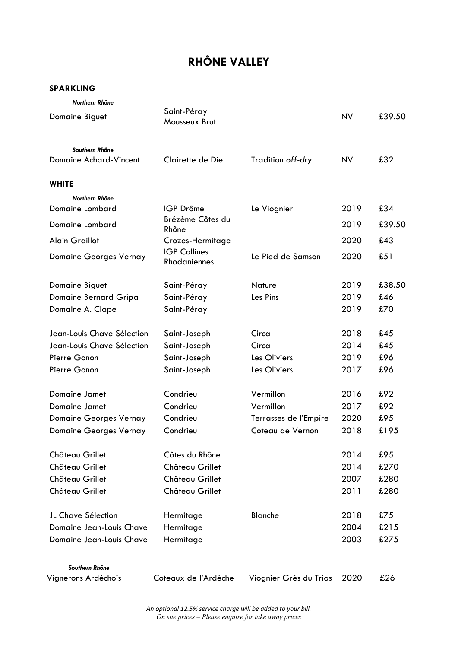# **RHÔNE VALLEY**

## **SPARKLING**

| Northern Rhône                |                                     |                        |           |        |
|-------------------------------|-------------------------------------|------------------------|-----------|--------|
| Domaine Biguet                | Saint-Péray<br>Mousseux Brut        |                        | <b>NV</b> | £39.50 |
| Southern Rhône                |                                     |                        |           |        |
| Domaine Achard-Vincent        | Clairette de Die                    | Tradition off-dry      | <b>NV</b> | £32    |
| <b>WHITE</b>                  |                                     |                        |           |        |
| Northern Rhône                |                                     |                        |           |        |
| Domaine Lombard               | IGP Drôme                           | Le Viognier            | 2019      | £34    |
| Domaine Lombard               | Brézème Côtes du<br>Rhône           |                        | 2019      | £39.50 |
| <b>Alain Graillot</b>         | Crozes-Hermitage                    |                        | 2020      | £43    |
| <b>Domaine Georges Vernay</b> | <b>IGP Collines</b><br>Rhodaniennes | Le Pied de Samson      | 2020      | £51    |
| Domaine Biguet                | Saint-Péray                         | <b>Nature</b>          | 2019      | £38.50 |
| Domaine Bernard Gripa         | Saint-Péray                         | Les Pins               | 2019      | £46    |
| Domaine A. Clape              | Saint-Péray                         |                        | 2019      | £70    |
| Jean-Louis Chave Sélection    | Saint-Joseph                        | Circa                  | 2018      | £45    |
| Jean-Louis Chave Sélection    | Saint-Joseph                        | Circa                  | 2014      | £45    |
| Pierre Gonon                  | Saint-Joseph                        | Les Oliviers           | 2019      | £96    |
| Pierre Gonon                  | Saint-Joseph                        | Les Oliviers           | 2017      | £96    |
| Domaine Jamet                 | Condrieu                            | Vermillon              | 2016      | £92    |
| Domaine Jamet                 | Condrieu                            | Vermillon              | 2017      | £92    |
| <b>Domaine Georges Vernay</b> | Condrieu                            | Terrasses de l'Empire  | 2020      | £95    |
| <b>Domaine Georges Vernay</b> | Condrieu                            | Coteau de Vernon       | 2018      | £195   |
| Château Grillet               | Côtes du Rhône                      |                        | 2014      | £95    |
| Château Grillet               | Château Grillet                     |                        | 2014      | £270   |
| Château Grillet               | Château Grillet                     |                        | 2007      | £280   |
| Château Grillet               | Château Grillet                     |                        | 2011      | £280   |
| JL Chave Sélection            | Hermitage                           | Blanche                | 2018      | £75    |
| Domaine Jean-Louis Chave      | Hermitage                           |                        | 2004      | £215   |
| Domaine Jean-Louis Chave      | Hermitage                           |                        | 2003      | £275   |
| Southern Rhône                |                                     |                        |           |        |
| Vignerons Ardéchois           | Coteaux de l'Ardèche                | Viognier Grès du Trias | 2020      | £26    |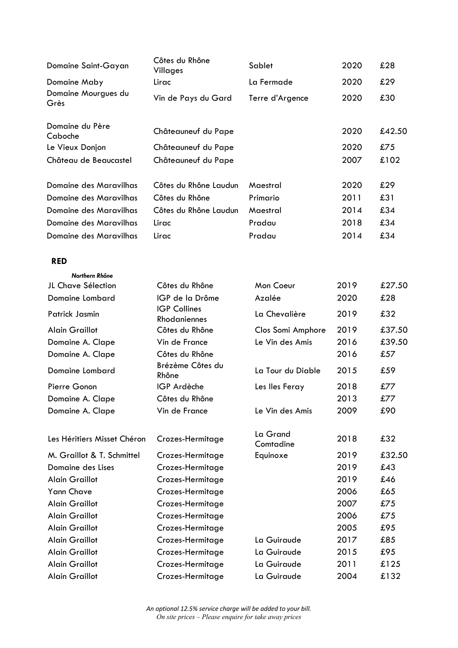| Domaine Saint-Gayan           | Côtes du Rhône<br>Villages          | Sablet                                  | 2020 | £28    |
|-------------------------------|-------------------------------------|-----------------------------------------|------|--------|
| Domaine Maby                  | Lirac                               | La Fermade                              | 2020 | £29    |
| Domaine Mourgues du<br>Grès   | Vin de Pays du Gard                 | Terre d'Argence                         | 2020 | £30    |
| Domaine du Père<br>Caboche    | Châteauneuf du Pape                 |                                         | 2020 | £42.50 |
| Le Vieux Donjon               | Châteauneuf du Pape                 |                                         | 2020 | £75    |
| Château de Beaucastel         | Châteauneuf du Pape                 |                                         | 2007 | £102   |
| Domaine des Maravilhas        | Côtes du Rhône Laudun               | Maestral                                | 2020 | £29    |
| <b>Domaine des Maravilhas</b> | Côtes du Rhône                      | Primario                                | 2011 | £31    |
| <b>Domaine des Maravilhas</b> | Côtes du Rhône Laudun               | Maestral                                | 2014 | £34    |
| Domaine des Maravilhas        | Lirac                               | Pradau                                  | 2018 | £34    |
| Domaine des Maravilhas        | Lirac                               | Pradau                                  | 2014 | £34    |
| <b>RED</b>                    |                                     |                                         |      |        |
| Northern Rhône                |                                     |                                         |      |        |
| JL Chave Sélection            | Côtes du Rhône                      | Mon Coeur                               | 2019 | £27.50 |
| Domaine Lombard               | IGP de la Drôme                     | Azalée                                  | 2020 | £28    |
| Patrick Jasmin                | <b>IGP Collines</b><br>Rhodaniennes | La Chevalière                           | 2019 | £32    |
| <b>Alain Graillot</b>         | Côtes du Rhône                      | Clos Somi Amphore                       | 2019 | £37.50 |
| Domaine A. Clape              | Vin de France                       | Le Vin des Amis                         | 2016 | £39.50 |
| Domaine A. Clape              | Côtes du Rhône                      |                                         | 2016 | £57    |
| Domaine Lombard               | Brézème Côtes du<br>Rhône           | La Tour du Diable                       | 2015 | £59    |
| Pierre Gonon                  | IGP Ardèche                         | Les lles Feray                          | 2018 | £77    |
| Domaine A. Clape              | Côtes du Rhône                      |                                         | 2013 | £77    |
| Domaine A. Clape              | Vin de France                       | Le Vin des Amis                         | 2009 | £90    |
| Les Héritiers Misset Chéron   | Crozes-Hermitage                    | La Grand<br>$\sim$ $\sim$ $\sim$ $\sim$ | 2018 | £32    |

| Les Héritiers Misset Chéron | Crozes-Hermitage | LU VIUIU<br>Comtadine | 2018 | £32    |
|-----------------------------|------------------|-----------------------|------|--------|
| M. Graillot & T. Schmittel  | Crozes-Hermitage | Equinoxe              | 2019 | £32.50 |
| Domaine des Lises           | Crozes-Hermitage |                       | 2019 | £43    |
| Alain Graillot              | Crozes-Hermitage |                       | 2019 | £46    |
| <b>Yann Chave</b>           | Crozes-Hermitage |                       | 2006 | £65    |
| Alain Graillot              | Crozes-Hermitage |                       | 2007 | £75    |
| Alain Graillot              | Crozes-Hermitage |                       | 2006 | £75    |
| <b>Alain Graillot</b>       | Crozes-Hermitage |                       | 2005 | £95    |
| Alain Graillot              | Crozes-Hermitage | La Guiraude           | 2017 | £85    |
| <b>Alain Graillot</b>       | Crozes-Hermitage | La Guiraude           | 2015 | £95    |
| <b>Alain Graillot</b>       | Crozes-Hermitage | La Guiraude           | 2011 | £125   |
| Alain Graillot              | Crozes-Hermitage | La Guiraude           | 2004 | £132   |
|                             |                  |                       |      |        |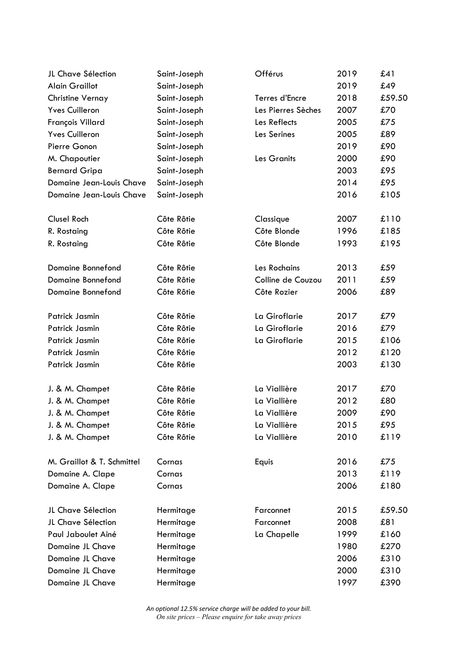| JL Chave Sélection         | Saint-Joseph | Offérus            | 2019 | £41    |
|----------------------------|--------------|--------------------|------|--------|
| <b>Alain Graillot</b>      | Saint-Joseph |                    | 2019 | £49    |
| Christine Vernay           | Saint-Joseph | Terres d'Encre     | 2018 | £59.50 |
| <b>Yves Cuilleron</b>      | Saint-Joseph | Les Pierres Sèches | 2007 | £70    |
| François Villard           | Saint-Joseph | Les Reflects       | 2005 | £75    |
| <b>Yves Cuilleron</b>      | Saint-Joseph | Les Serines        | 2005 | £89    |
| Pierre Gonon               | Saint-Joseph |                    | 2019 | £90    |
| M. Chapoutier              | Saint-Joseph | Les Granits        | 2000 | £90    |
| <b>Bernard Gripa</b>       | Saint-Joseph |                    | 2003 | £95    |
| Domaine Jean-Louis Chave   | Saint-Joseph |                    | 2014 | £95    |
| Domaine Jean-Louis Chave   | Saint-Joseph |                    | 2016 | £105   |
| <b>Clusel Roch</b>         | Côte Rôtie   | Classique          | 2007 | £110   |
| R. Rostaing                | Côte Rôtie   | Côte Blonde        | 1996 | £185   |
| R. Rostaing                | Côte Rôtie   | Côte Blonde        | 1993 | £195   |
| Domaine Bonnefond          | Côte Rôtie   | Les Rochains       | 2013 | £59    |
| Domaine Bonnefond          | Côte Rôtie   | Colline de Couzou  | 2011 | £59    |
| Domaine Bonnefond          | Côte Rôtie   | Côte Rozier        | 2006 | £89    |
| Patrick Jasmin             | Côte Rôtie   | La Giroflarie      | 2017 | £79    |
| Patrick Jasmin             | Côte Rôtie   | La Giroflarie      | 2016 | £79    |
| Patrick Jasmin             | Côte Rôtie   | La Giroflarie      | 2015 | £106   |
| Patrick Jasmin             | Côte Rôtie   |                    | 2012 | £120   |
| Patrick Jasmin             | Côte Rôtie   |                    | 2003 | £130   |
| J. & M. Champet            | Côte Rôtie   | La Viallière       | 2017 | £70    |
| J. & M. Champet            | Côte Rôtie   | La Viallière       | 2012 | £80    |
| J. & M. Champet            | Côte Rôtie   | La Viallière       | 2009 | £90    |
| J. & M. Champet            | Côte Rôtie   | La Viallière       | 2015 | £95    |
| J. & M. Champet            | Côte Rôtie   | La Viallière       | 2010 | £119   |
| M. Graillot & T. Schmittel | Cornas       | Equis              | 2016 | £75    |
| Domaine A. Clape           | Cornas       |                    | 2013 | £119   |
| Domaine A. Clape           | Cornas       |                    | 2006 | £180   |
| JL Chave Sélection         | Hermitage    | Farconnet          | 2015 | £59.50 |
| JL Chave Sélection         | Hermitage    | Farconnet          | 2008 | £81    |
| Paul Jaboulet Ainé         | Hermitage    | La Chapelle        | 1999 | £160   |
| Domaine JL Chave           | Hermitage    |                    | 1980 | £270   |
| Domaine JL Chave           | Hermitage    |                    | 2006 | £310   |
| Domaine JL Chave           | Hermitage    |                    | 2000 | £310   |
| Domaine JL Chave           | Hermitage    |                    | 1997 | £390   |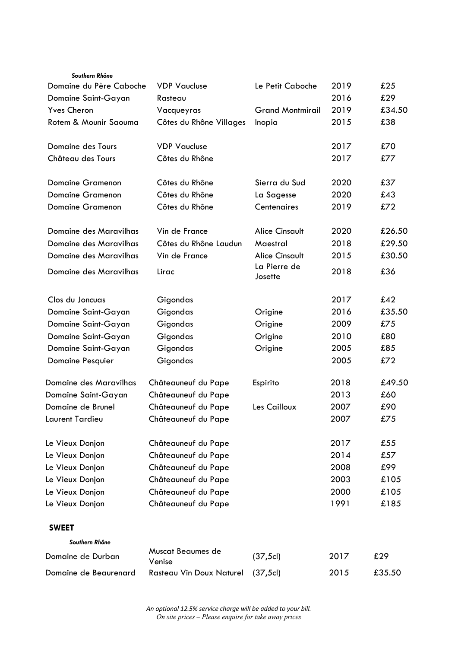| Southern Rhône                |                                 |                         |      |        |
|-------------------------------|---------------------------------|-------------------------|------|--------|
| Domaine du Père Caboche       | <b>VDP Vaucluse</b>             | Le Petit Caboche        | 2019 | £25    |
| Domaine Saint-Gayan           | Rasteau                         |                         | 2016 | £29    |
| <b>Yves Cheron</b>            | Vacqueyras                      | <b>Grand Montmirail</b> | 2019 | £34.50 |
| Rotem & Mounir Saouma         | Côtes du Rhône Villages         | Inopia                  | 2015 | £38    |
| Domaine des Tours             | <b>VDP Vaucluse</b>             |                         | 2017 | £70    |
| Château des Tours             | Côtes du Rhône                  |                         | 2017 | £77    |
| <b>Domaine Gramenon</b>       | Côtes du Rhône                  | Sierra du Sud           | 2020 | £37    |
| <b>Domaine Gramenon</b>       | Côtes du Rhône                  | La Sagesse              | 2020 | £43    |
| <b>Domaine Gramenon</b>       | Côtes du Rhône                  | Centenaires             | 2019 | £72    |
| <b>Domaine des Maravilhas</b> | Vin de France                   | <b>Alice Cinsault</b>   | 2020 | £26.50 |
| Domaine des Maravilhas        | Côtes du Rhône Laudun           | Maestral                | 2018 | £29.50 |
| Domaine des Maravilhas        | Vin de France                   | <b>Alice Cinsault</b>   | 2015 | £30.50 |
| Domaine des Maravilhas        | Lirac                           | La Pierre de<br>Josette | 2018 | £36    |
| Clos du Joncuas               | Gigondas                        |                         | 2017 | £42    |
| Domaine Saint-Gayan           | Gigondas                        | Origine                 | 2016 | £35.50 |
| Domaine Saint-Gayan           | Gigondas                        | Origine                 | 2009 | £75    |
| Domaine Saint-Gayan           | Gigondas                        | Origine                 | 2010 | £80    |
| Domaine Saint-Gayan           | Gigondas                        | Origine                 | 2005 | £85    |
| <b>Domaine Pesquier</b>       | Gigondas                        |                         | 2005 | £72    |
| Domaine des Maravilhas        | Châteauneuf du Pape             | Espirito                | 2018 | £49.50 |
| Domaine Saint-Gayan           | Châteauneuf du Pape             |                         | 2013 | £60    |
| Domaine de Brunel             | Châteauneuf du Pape             | Les Cailloux            | 2007 | £90    |
| Laurent Tardieu               | Châteauneuf du Pape             |                         | 2007 | £75    |
| Le Vieux Donjon               | Châteauneuf du Pape             |                         | 2017 | £55    |
| Le Vieux Donjon               | Châteauneuf du Pape             |                         | 2014 | £57    |
| Le Vieux Donjon               | Châteauneuf du Pape             |                         | 2008 | £99    |
| Le Vieux Donjon               | Châteauneuf du Pape             |                         | 2003 | £105   |
| Le Vieux Donjon               | Châteauneuf du Pape             |                         | 2000 | £105   |
| Le Vieux Donjon               | Châteauneuf du Pape             |                         | 1991 | £185   |
| <b>SWEET</b>                  |                                 |                         |      |        |
| Southern Rhône                |                                 |                         |      |        |
| Domaine de Durban             | Muscat Beaumes de<br>Venise     | (37, 5c)                | 2017 | £29    |
| Domaine de Beaurenard         | <b>Rasteau Vin Doux Naturel</b> | (37, 5c)                | 2015 | £35.50 |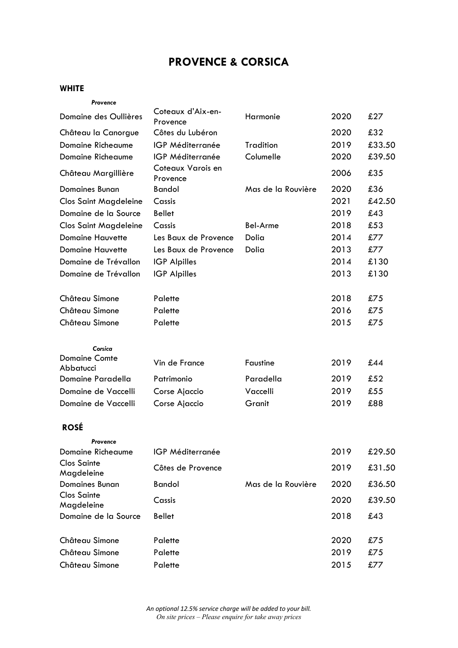# **PROVENCE & CORSICA**

## **WHITE**

| Provence                          |                               |                    |      |        |
|-----------------------------------|-------------------------------|--------------------|------|--------|
| Domaine des Oullières             | Coteaux d'Aix-en-<br>Provence | Harmonie           | 2020 | £27    |
| Château la Canorgue               | Côtes du Lubéron              |                    | 2020 | £32    |
| <b>Domaine Richeaume</b>          | IGP Méditerranée              | <b>Tradition</b>   | 2019 | £33.50 |
| <b>Domaine Richeaume</b>          | IGP Méditerranée              | Columelle          | 2020 | £39.50 |
| Château Margillière               | Coteaux Varois en<br>Provence |                    | 2006 | £35    |
| <b>Domaines Bunan</b>             | <b>Bandol</b>                 | Mas de la Rouvière | 2020 | £36    |
| <b>Clos Saint Magdeleine</b>      | Cassis                        |                    | 2021 | £42.50 |
| Domaine de la Source              | <b>Bellet</b>                 |                    | 2019 | £43    |
| <b>Clos Saint Magdeleine</b>      | Cassis                        | <b>Bel-Arme</b>    | 2018 | £53    |
| <b>Domaine Hauvette</b>           | Les Baux de Provence          | Dolia              | 2014 | £77    |
| <b>Domaine Hauvette</b>           | Les Baux de Provence          | Dolia              | 2013 | £77    |
| Domaine de Trévallon              | <b>IGP Alpilles</b>           |                    | 2014 | £130   |
| Domaine de Trévallon              | <b>IGP</b> Alpilles           |                    | 2013 | £130   |
| Château Simone                    | Palette                       |                    | 2018 | £75    |
| Château Simone                    | Palette                       |                    | 2016 | £75    |
| Château Simone                    | Palette                       |                    | 2015 | £75    |
| Corsica                           |                               |                    |      |        |
| <b>Domaine Comte</b><br>Abbatucci | Vin de France                 | <b>Faustine</b>    | 2019 | £44    |
| Domaine Paradella                 | Patrimonio                    | Paradella          | 2019 | £52    |
| Domaine de Vaccelli               | Corse Ajaccio                 | Vaccelli           | 2019 | £55    |
| Domaine de Vaccelli               | Corse Ajaccio                 | Granit             | 2019 | £88    |
| <b>ROSÉ</b>                       |                               |                    |      |        |
| Provence                          |                               |                    |      |        |
| <b>Domaine Richeaume</b>          | IGP Méditerranée              |                    | 2019 | £29.50 |
| <b>Clos Sainte</b><br>Magdeleine  | Côtes de Provence             |                    | 2019 | £31.50 |
| <b>Domaines Bunan</b>             | <b>Bandol</b>                 | Mas de la Rouvière | 2020 | £36.50 |
| <b>Clos Sainte</b><br>Magdeleine  | Cassis                        |                    | 2020 | £39.50 |
| Domaine de la Source              | <b>Bellet</b>                 |                    | 2018 | £43    |
| Château Simone                    | Palette                       |                    | 2020 | £75    |
| Château Simone                    | Palette                       |                    | 2019 | £75    |
| Château Simone                    | Palette                       |                    | 2015 | £77    |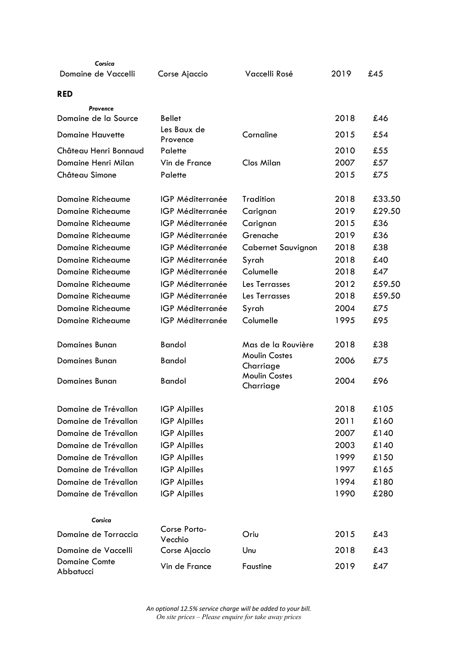| Corsica                           |                         |                                   |      |        |
|-----------------------------------|-------------------------|-----------------------------------|------|--------|
| Domaine de Vaccelli               | Corse Ajaccio           | Vaccelli Rosé                     | 2019 | £45    |
| <b>RED</b>                        |                         |                                   |      |        |
| Provence                          |                         |                                   |      |        |
| Domaine de la Source              | <b>Bellet</b>           |                                   | 2018 | £46    |
| <b>Domaine Hauvette</b>           | Les Baux de<br>Provence | Cornaline                         | 2015 | £54    |
| Château Henri Bonnaud             | Palette                 |                                   | 2010 | £55    |
| Domaine Henri Milan               | Vin de France           | <b>Clos Milan</b>                 | 2007 | £57    |
| Château Simone                    | Palette                 |                                   | 2015 | £75    |
| <b>Domaine Richeaume</b>          | IGP Méditerranée        | <b>Tradition</b>                  | 2018 | £33.50 |
| <b>Domaine Richeaume</b>          | IGP Méditerranée        | Carignan                          | 2019 | £29.50 |
| <b>Domaine Richeaume</b>          | IGP Méditerranée        | Carignan                          | 2015 | £36    |
| <b>Domaine Richeaume</b>          | IGP Méditerranée        | Grenache                          | 2019 | £36    |
| Domaine Richeaume                 | IGP Méditerranée        | Cabernet Sauvignon                | 2018 | £38    |
| Domaine Richeaume                 | IGP Méditerranée        | Syrah                             | 2018 | £40    |
| <b>Domaine Richeaume</b>          | IGP Méditerranée        | Columelle                         | 2018 | £47    |
| Domaine Richeaume                 | IGP Méditerranée        | Les Terrasses                     | 2012 | £59.50 |
| <b>Domaine Richeaume</b>          | IGP Méditerranée        | Les Terrasses                     | 2018 | £59.50 |
| Domaine Richeaume                 | IGP Méditerranée        | Syrah                             | 2004 | £75    |
| <b>Domaine Richeaume</b>          | IGP Méditerranée        | Columelle                         | 1995 | £95    |
| <b>Domaines Bunan</b>             | <b>Bandol</b>           | Mas de la Rouvière                | 2018 | £38    |
| <b>Domaines Bunan</b>             | <b>Bandol</b>           | <b>Moulin Costes</b><br>Charriage | 2006 | £75    |
| <b>Domaines Bunan</b>             | <b>Bandol</b>           | <b>Moulin Costes</b><br>Charriage | 2004 | £96    |
| Domaine de Trévallon              | <b>IGP Alpilles</b>     |                                   | 2018 | £105   |
| Domaine de Trévallon              | <b>IGP Alpilles</b>     |                                   | 2011 | £160   |
| Domaine de Trévallon              | <b>IGP Alpilles</b>     |                                   | 2007 | £140   |
| Domaine de Trévallon              | <b>IGP Alpilles</b>     |                                   | 2003 | £140   |
| Domaine de Trévallon              | <b>IGP Alpilles</b>     |                                   | 1999 | £150   |
| Domaine de Trévallon              | <b>IGP Alpilles</b>     |                                   | 1997 | £165   |
| Domaine de Trévallon              | <b>IGP Alpilles</b>     |                                   | 1994 | £180   |
| Domaine de Trévallon              | <b>IGP Alpilles</b>     |                                   | 1990 | £280   |
| Corsica                           |                         |                                   |      |        |
| Domaine de Torraccia              | Corse Porto-<br>Vecchio | Oriu                              | 2015 | £43    |
| Domaine de Vaccelli               | Corse Ajaccio           | Unu                               | 2018 | £43    |
| <b>Domaine Comte</b><br>Abbatucci | Vin de France           | Faustine                          | 2019 | £47    |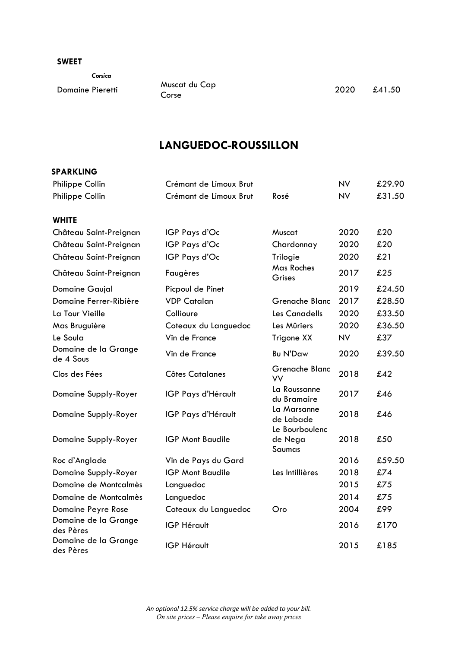#### **SWEET**

|                         | Corsica |
|-------------------------|---------|
| <b>Domaine Pieretti</b> |         |

Muscat du Cap<br>Corse

2020 £41.50

# **LANGUEDOC-ROUSSILLON**

| Philippe Collin                   | Crémant de Limoux Brut  |                                            | <b>NV</b> | £29.90 |
|-----------------------------------|-------------------------|--------------------------------------------|-----------|--------|
| Philippe Collin                   | Crémant de Limoux Brut  | Rosé                                       | <b>NV</b> | £31.50 |
| <b>WHITE</b>                      |                         |                                            |           |        |
| Château Saint-Preignan            | IGP Pays d'Oc           | Muscat                                     | 2020      | £20    |
| Château Saint-Preignan            | IGP Pays d'Oc           | Chardonnay                                 | 2020      | £20    |
| Château Saint-Preignan            | IGP Pays d'Oc           | Trilogie                                   | 2020      | £21    |
| Château Saint-Preignan            | Faugères                | Mas Roches<br>Grises                       | 2017      | £25    |
| Domaine Gaujal                    | Picpoul de Pinet        |                                            | 2019      | £24.50 |
| Domaine Ferrer-Ribière            | <b>VDP Catalan</b>      | Grenache Blanc                             | 2017      | £28.50 |
| La Tour Vieille                   | Collioure               | Les Canadells                              | 2020      | £33.50 |
| Mas Bruguière                     | Coteaux du Languedoc    | Les Mûriers                                | 2020      | £36.50 |
| Le Soula                          | Vin de France           | Trigone XX                                 | <b>NV</b> | £37    |
| Domaine de la Grange<br>de 4 Sous | Vin de France           | <b>Bu N'Daw</b>                            | 2020      | £39.50 |
| Clos des Fées                     | <b>Côtes Catalanes</b>  | Grenache Blanc<br>VV                       | 2018      | £42    |
| Domaine Supply-Royer              | IGP Pays d'Hérault      | La Roussanne<br>du Bramaire                | 2017      | £46    |
| Domaine Supply-Royer              | IGP Pays d'Hérault      | La Marsanne<br>de Labade<br>Le Bourboulenc | 2018      | £46    |
| Domaine Supply-Royer              | <b>IGP Mont Baudile</b> | de Nega<br>Saumas                          | 2018      | £50    |
| Roc d'Anglade                     | Vin de Pays du Gard     |                                            | 2016      | £59.50 |
| Domaine Supply-Royer              | <b>IGP Mont Baudile</b> | Les Intillières                            | 2018      | £74    |
| Domaine de Montcalmès             | Languedoc               |                                            | 2015      | £75    |
| Domaine de Montcalmès             | Languedoc               |                                            | 2014      | £75    |
| Domaine Peyre Rose                | Coteaux du Languedoc    | Oro                                        | 2004      | £99    |
| Domaine de la Grange<br>des Pères | <b>IGP Hérault</b>      |                                            | 2016      | £170   |
| Domaine de la Grange<br>des Pères | <b>IGP Hérault</b>      |                                            | 2015      | £185   |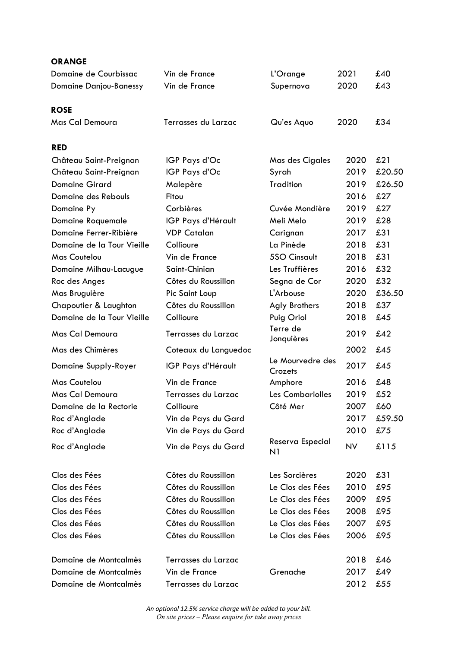## **ORANGE**

| Domaine de Courbissac         | Vin de France        | L'Orange                    | 2021 | £40    |
|-------------------------------|----------------------|-----------------------------|------|--------|
| <b>Domaine Danjou-Banessy</b> | Vin de France        | Supernova                   | 2020 | £43    |
|                               |                      |                             |      |        |
| <b>ROSE</b>                   |                      |                             |      |        |
| Mas Cal Demoura               | Terrasses du Larzac  | Qu'es Aquo                  | 2020 | £34    |
| <b>RED</b>                    |                      |                             |      |        |
| Château Saint-Preignan        | IGP Pays d'Oc        | Mas des Cigales             | 2020 | £21    |
| Château Saint-Preignan        | IGP Pays d'Oc        | Syrah                       | 2019 | £20.50 |
| <b>Domaine Girard</b>         | Malepère             | <b>Tradition</b>            | 2019 | £26.50 |
| Domaine des Rebouls           | Fitou                |                             | 2016 | £27    |
| Domaine Py                    | Corbières            | Cuvée Mondière              | 2019 | £27    |
| Domaine Roquemale             | IGP Pays d'Hérault   | Meli Melo                   | 2019 | £28    |
| Domaine Ferrer-Ribière        | <b>VDP Catalan</b>   | Carignan                    | 2017 | £31    |
| Domaine de la Tour Vieille    | Collioure            | La Pinède                   | 2018 | £31    |
| <b>Mas Coutelou</b>           | Vin de France        | 5SO Cinsault                | 2018 | £31    |
| Domaine Milhau-Lacugue        | Saint-Chinian        | Les Truffières              | 2016 | £32    |
| Roc des Anges                 | Côtes du Roussillon  | Segna de Cor                | 2020 | £32    |
| Mas Bruguière                 | Pic Saint Loup       | L'Arbouse                   | 2020 | £36.50 |
| Chapoutier & Laughton         | Côtes du Roussillon  | <b>Agly Brothers</b>        | 2018 | £37    |
| Domaine de la Tour Vieille    | Collioure            | Puig Oriol                  | 2018 | £45    |
| Mas Cal Demoura               | Terrasses du Larzac  | Terre de<br>Jonquières      | 2019 | £42    |
| Mas des Chimères              | Coteaux du Languedoc |                             | 2002 | £45    |
| Domaine Supply-Royer          | IGP Pays d'Hérault   | Le Mourvedre des<br>Crozets | 2017 | £45    |
| <b>Mas Coutelou</b>           | Vin de France        | Amphore                     | 2016 | £48    |
| Mas Cal Demoura               | Terrasses du Larzac  | Les Combariolles            | 2019 | £52    |
| Domaine de la Rectorie        | Collioure            | Côté Mer                    | 2007 | £60    |
| Roc d'Anglade                 | Vin de Pays du Gard  |                             | 2017 | £59.50 |
| Roc d'Anglade                 | Vin de Pays du Gard  |                             | 2010 | £75    |
| Roc d'Anglade                 | Vin de Pays du Gard  | Reserva Especial<br>N1      | NV   | £115   |
| Clos des Fées                 | Côtes du Roussillon  | Les Sorcières               | 2020 | £31    |
| Clos des Fées                 | Côtes du Roussillon  | Le Clos des Fées            | 2010 | £95    |
| Clos des Fées                 | Côtes du Roussillon  | Le Clos des Fées            | 2009 | £95    |
| Clos des Fées                 | Côtes du Roussillon  | Le Clos des Fées            | 2008 | £95    |
| Clos des Fées                 | Côtes du Roussillon  | Le Clos des Fées            | 2007 | £95    |
| Clos des Fées                 | Côtes du Roussillon  | Le Clos des Fées            | 2006 | £95    |
| Domaine de Montcalmès         | Terrasses du Larzac  |                             | 2018 | £46    |
| Domaine de Montcalmès         | Vin de France        | Grenache                    | 2017 | £49    |
| Domaine de Montcalmès         | Terrasses du Larzac  |                             | 2012 | £55    |
|                               |                      |                             |      |        |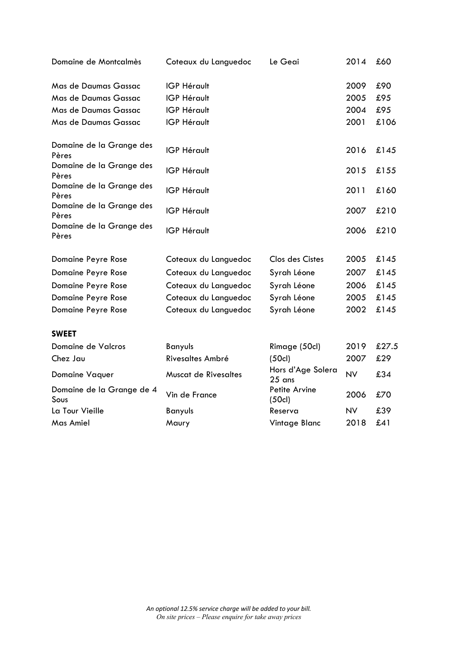| Domaine de Montcalmès             | Coteaux du Languedoc        | Le Geai                       | 2014      | £60   |
|-----------------------------------|-----------------------------|-------------------------------|-----------|-------|
| Mas de Daumas Gassac              | <b>IGP Hérault</b>          |                               | 2009      | £90   |
| Mas de Daumas Gassac              | <b>IGP Hérault</b>          |                               | 2005      | £95   |
| Mas de Daumas Gassac              | <b>IGP Hérault</b>          |                               | 2004      | £95   |
| Mas de Daumas Gassac              | <b>IGP Hérault</b>          |                               | 2001      | £106  |
| Domaine de la Grange des<br>Pères | <b>IGP Hérault</b>          |                               | 2016      | £145  |
| Domaine de la Grange des<br>Pères | <b>IGP Hérault</b>          |                               | 2015      | £155  |
| Domaine de la Grange des<br>Pères | <b>IGP Hérault</b>          |                               | 2011      | £160  |
| Domaine de la Grange des<br>Pères | <b>IGP Hérault</b>          |                               | 2007      | £210  |
| Domaine de la Grange des<br>Pères | <b>IGP Hérault</b>          |                               | 2006      | £210  |
| Domaine Peyre Rose                | Coteaux du Languedoc        | Clos des Cistes               | 2005      | £145  |
| Domaine Peyre Rose                | Coteaux du Languedoc        | Syrah Léone                   | 2007      | £145  |
| Domaine Peyre Rose                | Coteaux du Languedoc        | Syrah Léone                   | 2006      | £145  |
| Domaine Peyre Rose                | Coteaux du Languedoc        | Syrah Léone                   | 2005      | £145  |
| Domaine Peyre Rose                | Coteaux du Languedoc        | Syrah Léone                   | 2002      | £145  |
| <b>SWEET</b>                      |                             |                               |           |       |
| Domaine de Valcros                | Banyuls                     | Rimage (50cl)                 | 2019      | £27.5 |
| Chez Jau                          | Rivesaltes Ambré            | (50c)                         | 2007      | £29   |
| Domaine Vaquer                    | <b>Muscat de Rivesaltes</b> | Hors d'Age Solera<br>$25$ ans | <b>NV</b> | £34   |
| Domaine de la Grange de 4<br>Sous | Vin de France               | Petite Arvine<br>(50c)        | 2006      | £70   |
| La Tour Vieille                   | <b>Banyuls</b>              | Reserva                       | <b>NV</b> | £39   |
| Mas Amiel                         | Maury                       | Vintage Blanc                 | 2018      | £41   |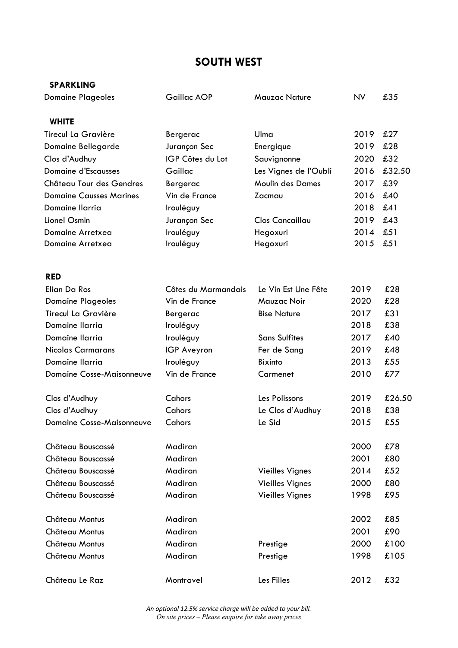## **SOUTH WEST**

# **SPARKLING** Domaine Plageoles Gaillac AOP Mauzac Nature NV £35 **WHITE** Tirecul La Gravière Bergerac Ulma 2019 £27 Domaine Bellegarde Jurançon Sec Energique 2019 £28 Clos d'Audhuy IGP Côtes du Lot Sauvignonne 2020 £32 Domaine d'Escausses Gaillac Les Vignes de l'Oubli 2016 £32.50 Château Tour des Gendres Bergerac Moulin des Dames 2017 £39 Domaine Causses Marines Vin de France Zacmau 2016 £40 Domaine Ilarria Irouléguy 2018 £41 Lionel Osmin Jurançon Sec Clos Cancaillau 2019 £43 Domaine Arretxea Irouléguy Hegoxuri 2014 £51 Domaine Arretxea Irouléguy Hegoxuri 2015 £51 **RED** Elian Da Ros Côtes du Marmandais Le Vin Est Une Fête 2019 £28 Domaine Plageoles Vin de France Mauzac Noir 2020 £28 Tirecul La Gravière Bergerac Bise Nature 2017 £31 Domaine Ilarria **Irouléguy** 1.1 and 2018 £38 Domaine Ilarria **Irouléguy** Sans Sulfites 2017 £40 Nicolas Carmarans **IGP Aveyron** Fer de Sang 2019 £48 Domaine Ilarria Irouléguy Bixinto 2013 £55 Domaine Cosse-Maisonneuve Vin de France Carmenet 2010 £77 Clos d'Audhuy Cahors Les Polissons 2019 £26.50 Clos d'Audhuy Cahors Le Clos d'Audhuy 2018 £38 Domaine Cosse-Maisonneuve Cahors Le Sid Le Sid 2015 £55 Château Bouscassé Madiran 2000 £78 Château Bouscassé Madiran 2001 £80 Château Bouscassé Madiran Vieilles Vignes 2014 £52 Château Bouscassé Madiran Vieilles Vignes 2000 £80 Château Bouscassé Madiran Vieilles Vignes 1998 £95 Château Montus Madiran 2002 £85 Château Montus Madiran 2001 £90 Château Montus Madiran Prestige 2000 £100 Château Montus Madiran Madiran Prestige 1998 £105 Château Le Raz Montravel Les Filles 2012 £32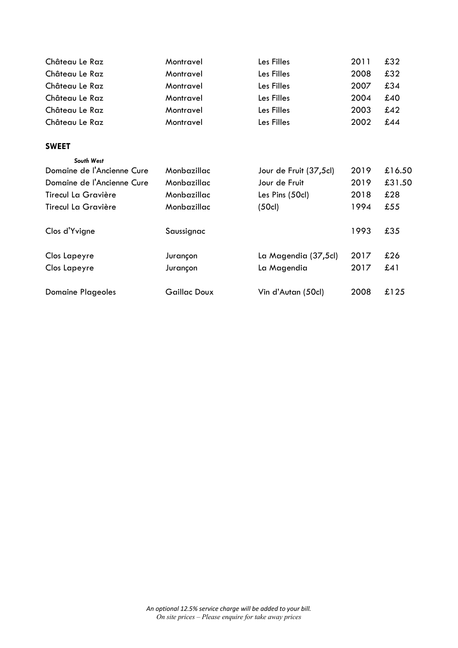| Château Le Raz             | Montravel           | Les Filles             | 2011 | £32    |
|----------------------------|---------------------|------------------------|------|--------|
| Château Le Raz             | Montravel           | Les Filles             | 2008 | £32    |
| Château Le Raz             | Montravel           | Les Filles             | 2007 | £34    |
| Château Le Raz             | Montravel           | Les Filles             | 2004 | £40    |
| Château Le Raz             | Montravel           | Les Filles             | 2003 | £42    |
| Château Le Raz             | Montravel           | Les Filles             | 2002 | £44    |
| <b>SWEET</b>               |                     |                        |      |        |
| South West                 |                     |                        |      |        |
| Domaine de l'Ancienne Cure | Monbazillac         | Jour de Fruit (37,5cl) | 2019 | £16.50 |
| Domaine de l'Ancienne Cure | Monbazillac         | Jour de Fruit          | 2019 | £31.50 |
| Tirecul La Gravière        | Monbazillac         | Les Pins (50cl)        | 2018 | £28    |
| <b>Tirecul La Gravière</b> | Monbazillac         | (50c)                  | 1994 | £55    |
| Clos d'Yvigne              | Saussignac          |                        | 1993 | £35    |
| Clos Lapeyre               | Jurançon            | La Magendia (37,5cl)   | 2017 | £26    |
| Clos Lapeyre               | Jurançon            | La Magendia            | 2017 | £41    |
| <b>Domaine Plageoles</b>   | <b>Gaillac Doux</b> | Vin d'Autan (50cl)     | 2008 | £125   |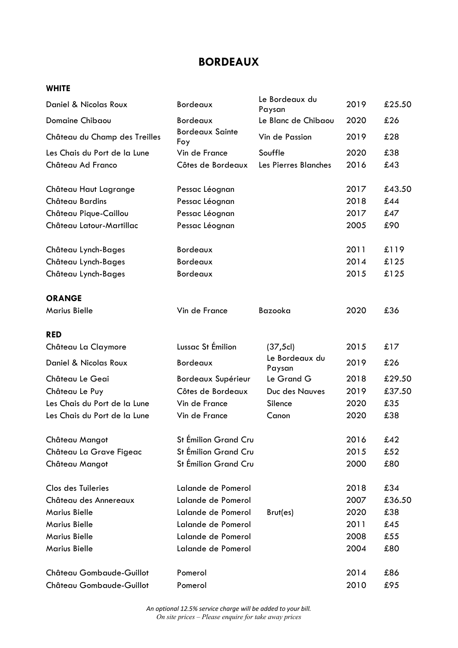# **BORDEAUX**

## **WHITE**

| Daniel & Nicolas Roux         | Bordeaux                      | Le Bordeaux du<br>Paysan | 2019 | £25.50 |
|-------------------------------|-------------------------------|--------------------------|------|--------|
| Domaine Chibaou               | Bordeaux                      | Le Blanc de Chibaou      | 2020 | £26    |
| Château du Champ des Treilles | <b>Bordeaux Sainte</b><br>Foy | Vin de Passion           | 2019 | £28    |
| Les Chais du Port de la Lune  | Vin de France                 | Souffle                  | 2020 | £38    |
| Château Ad Franco             | Côtes de Bordeaux             | Les Pierres Blanches     | 2016 | £43    |
| Château Haut Lagrange         | Pessac Léognan                |                          | 2017 | £43.50 |
| Château Bardins               | Pessac Léognan                |                          | 2018 | £44    |
| Château Pique-Caillou         | Pessac Léognan                |                          | 2017 | £47    |
| Château Latour-Martillac      | Pessac Léognan                |                          | 2005 | £90    |
| Château Lynch-Bages           | Bordeaux                      |                          | 2011 | £119   |
| Château Lynch-Bages           | Bordeaux                      |                          | 2014 | £125   |
| Château Lynch-Bages           | Bordeaux                      |                          | 2015 | £125   |
| <b>ORANGE</b>                 |                               |                          |      |        |
| <b>Marius Bielle</b>          | Vin de France                 | Bazooka                  | 2020 | £36    |
| <b>RED</b>                    |                               |                          |      |        |
| Château La Claymore           | Lussac St Émilion             | (37, 5c)                 | 2015 | £17    |
| Daniel & Nicolas Roux         | Bordeaux                      | Le Bordeaux du<br>Paysan | 2019 | £26    |
| Château Le Geai               | Bordeaux Supérieur            | Le Grand G               | 2018 | £29.50 |
| Château Le Puy                | Côtes de Bordeaux             | Duc des Nauves           | 2019 | £37.50 |
| Les Chais du Port de la Lune  | Vin de France                 | Silence                  | 2020 | £35    |
| Les Chais du Port de la Lune  | Vin de France                 | Canon                    | 2020 | £38    |
| Château Mangot                | St Emilion Grand Cru          |                          | 2016 | £42    |
| Château La Grave Figeac       | St Émilion Grand Cru          |                          | 2015 | £52    |
| Château Mangot                | St Émilion Grand Cru          |                          | 2000 | £80    |
| Clos des Tuileries            | Lalande de Pomerol            |                          | 2018 | £34    |
| Château des Annereaux         | Lalande de Pomerol            |                          | 2007 | £36.50 |
| <b>Marius Bielle</b>          | Lalande de Pomerol            | Brut(es)                 | 2020 | £38    |
| <b>Marius Bielle</b>          | Lalande de Pomerol            |                          | 2011 | £45    |
| <b>Marius Bielle</b>          | Lalande de Pomerol            |                          | 2008 | £55    |
| <b>Marius Bielle</b>          | Lalande de Pomerol            |                          | 2004 | £80    |
| Château Gombaude-Guillot      | Pomerol                       |                          | 2014 | £86    |
| Château Gombaude-Guillot      | Pomerol                       |                          | 2010 | £95    |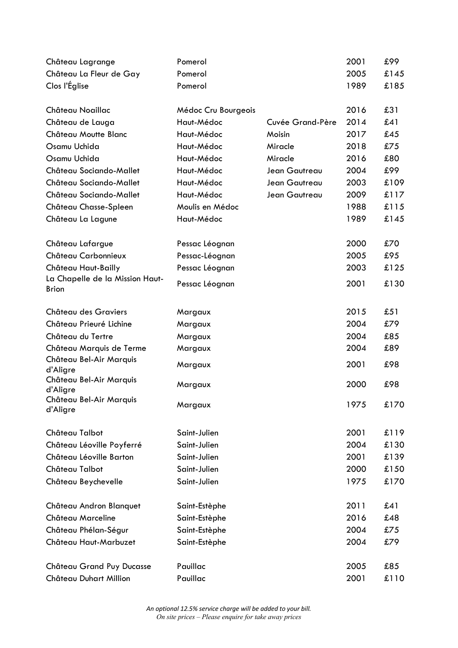| Château Lagrange                                | Pomerol             |                  | 2001 | £99  |
|-------------------------------------------------|---------------------|------------------|------|------|
| Château La Fleur de Gay                         | Pomerol             |                  | 2005 | £145 |
| Clos l'Église                                   | Pomerol             |                  | 1989 | £185 |
| Château Noaillac                                | Médoc Cru Bourgeois |                  | 2016 | £31  |
| Château de Lauga                                | Haut-Médoc          | Cuvée Grand-Père | 2014 | £41  |
| Château Moutte Blanc                            | Haut-Médoc          | Moisin           | 2017 | £45  |
| Osamu Uchida                                    | Haut-Médoc          | Miracle          | 2018 | £75  |
| Osamu Uchida                                    | Haut-Médoc          | Miracle          | 2016 | £80  |
| Château Sociando-Mallet                         | Haut-Médoc          | Jean Gautreau    | 2004 | £99  |
| Château Sociando-Mallet                         | Haut-Médoc          | Jean Gautreau    | 2003 | £109 |
| Château Sociando-Mallet                         | Haut-Médoc          | Jean Gautreau    | 2009 | £117 |
| Château Chasse-Spleen                           | Moulis en Médoc     |                  | 1988 | £115 |
| Château La Lagune                               | Haut-Médoc          |                  | 1989 | £145 |
| Château Lafargue                                | Pessac Léognan      |                  | 2000 | £70  |
| Château Carbonnieux                             | Pessac-Léognan      |                  | 2005 | £95  |
| Château Haut-Bailly                             | Pessac Léognan      |                  | 2003 | £125 |
| La Chapelle de la Mission Haut-<br><b>Brion</b> | Pessac Léognan      |                  | 2001 | £130 |
| Château des Graviers                            | Margaux             |                  | 2015 | £51  |
| Château Prieuré Lichine                         | Margaux             |                  | 2004 | £79  |
| Château du Tertre                               | Margaux             |                  | 2004 | £85  |
| Château Marquis de Terme                        | Margaux             |                  | 2004 | £89  |
| Château Bel-Air Marquis<br>d'Aligre             | Margaux             |                  | 2001 | £98  |
| Château Bel-Air Marquis<br>d'Aligre             | Margaux             |                  | 2000 | £98  |
| Château Bel-Air Marquis<br>d'Aligre             | Margaux             |                  | 1975 | £170 |
| Château Talbot                                  | Saint-Julien        |                  | 2001 | £119 |
| Château Léoville Poyferré                       | Saint-Julien        |                  | 2004 | £130 |
| Château Léoville Barton                         | Saint-Julien        |                  | 2001 | £139 |
| Château Talbot                                  | Saint-Julien        |                  | 2000 | £150 |
| Château Beychevelle                             | Saint-Julien        |                  | 1975 | £170 |
| Château Andron Blanquet                         | Saint-Estèphe       |                  | 2011 | £41  |
| Château Marceline                               | Saint-Estèphe       |                  | 2016 | £48  |
| Château Phélan-Ségur                            | Saint-Estèphe       |                  | 2004 | £75  |
| Château Haut-Marbuzet                           | Saint-Estèphe       |                  | 2004 | £79  |
| Château Grand Puy Ducasse                       | Pauillac            |                  | 2005 | £85  |
| Château Duhart Million                          | Pauillac            |                  | 2001 | £110 |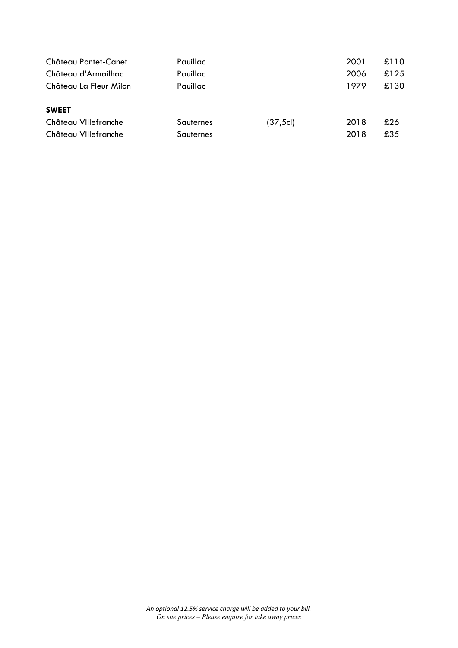| Château Pontet-Canet                                         | Pauillac               |          | 2001         | £110       |
|--------------------------------------------------------------|------------------------|----------|--------------|------------|
| Château d'Armailhac                                          | Pauillac               |          | 2006         | £125       |
| Château La Fleur Milon                                       | Pauillac               |          | 1979         | £130       |
| <b>SWEET</b><br>Château Villefranche<br>Château Villefranche | Sauternes<br>Sauternes | (37, 5c) | 2018<br>2018 | £26<br>£35 |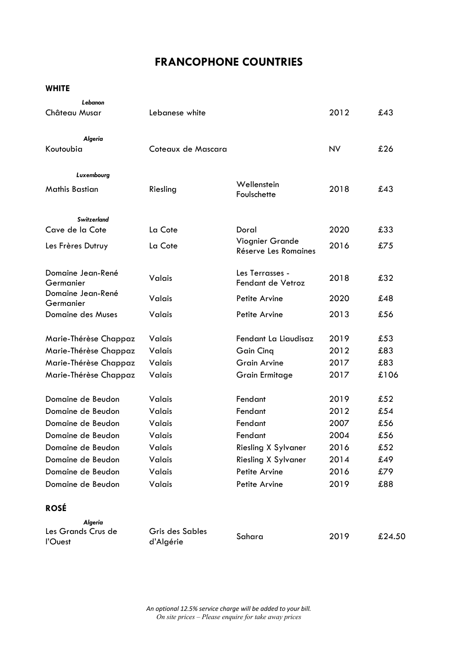# **FRANCOPHONE COUNTRIES**

**WHITE**

| Lebanon<br>Château Musar              | Lebanese white               |                                         | 2012      | £43    |
|---------------------------------------|------------------------------|-----------------------------------------|-----------|--------|
| Algeria<br>Koutoubia                  | Coteaux de Mascara           |                                         | <b>NV</b> | £26    |
| Luxembourg<br><b>Mathis Bastian</b>   | Riesling                     | Wellenstein<br>Foulschette              | 2018      | £43    |
| <b>Switzerland</b><br>Cave de la Cote | La Cote                      | Doral                                   | 2020      | £33    |
| Les Frères Dutruy                     | La Cote                      | Viognier Grande<br>Réserve Les Romaines | 2016      | £75    |
| Domaine Jean-René<br>Germanier        | Valais                       | Les Terrasses -<br>Fendant de Vetroz    | 2018      | £32    |
| Domaine Jean-René<br>Germanier        | Valais                       | Petite Arvine                           | 2020      | £48    |
| Domaine des Muses                     | Valais                       | Petite Arvine                           | 2013      | £56    |
| Marie-Thérèse Chappaz                 | Valais                       | Fendant La Liaudisaz                    | 2019      | £53    |
| Marie-Thérèse Chappaz                 | Valais                       | <b>Gain Cinq</b>                        | 2012      | £83    |
| Marie-Thérèse Chappaz                 | Valais                       | <b>Grain Arvine</b>                     | 2017      | £83    |
| Marie-Thérèse Chappaz                 | Valais                       | <b>Grain Ermitage</b>                   | 2017      | £106   |
| Domaine de Beudon                     | Valais                       | Fendant                                 | 2019      | £52    |
| Domaine de Beudon                     | <b>Valais</b>                | Fendant                                 | 2012      | £54    |
| Domaine de Beudon                     | Valais                       | Fendant                                 | 2007      | £56    |
| Domaine de Beudon                     | Valais                       | Fendant                                 | 2004      | £56    |
| Domaine de Beudon                     | Valais                       | <b>Riesling X Sylvaner</b>              | 2016      | £52    |
| Domaine de Beudon                     | Valais                       | <b>Riesling X Sylvaner</b>              | 2014      | £49    |
| Domaine de Beudon                     | Valais                       | Petite Arvine                           | 2016      | £79    |
| Domaine de Beudon                     | Valais                       | Petite Arvine                           | 2019      | £88    |
| <b>ROSÉ</b>                           |                              |                                         |           |        |
| <b>Algeria</b>                        |                              |                                         |           |        |
| Les Grands Crus de<br>l'Ouest         | Gris des Sables<br>d'Algérie | Sahara                                  | 2019      | £24.50 |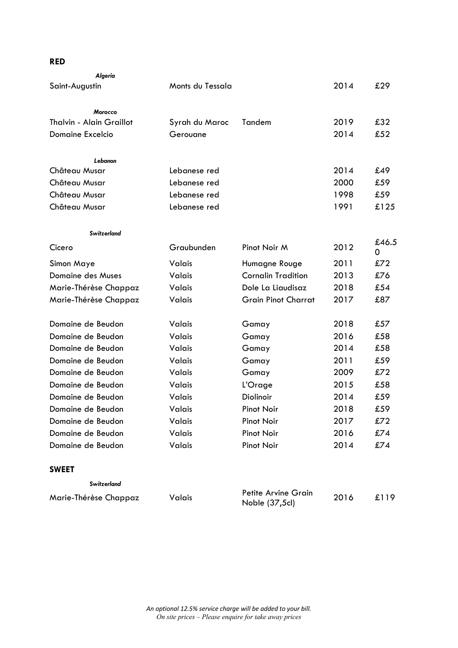## **RED**

| Algeria                  |                  |                                       |      |            |
|--------------------------|------------------|---------------------------------------|------|------------|
| Saint-Augustin           | Monts du Tessala |                                       | 2014 | £29        |
|                          |                  |                                       |      |            |
| <b>Morocco</b>           |                  |                                       |      |            |
| Thalvin - Alain Graillot | Syrah du Maroc   | Tandem                                | 2019 | £32        |
| <b>Domaine Excelcio</b>  | Gerouane         |                                       | 2014 | £52        |
| Lebanon                  |                  |                                       |      |            |
| Château Musar            | Lebanese red     |                                       | 2014 | £49        |
| Château Musar            | Lebanese red     |                                       | 2000 | £59        |
| Château Musar            | Lebanese red     |                                       | 1998 | £59        |
| Château Musar            | Lebanese red     |                                       | 1991 | £125       |
| <b>Switzerland</b>       |                  |                                       |      |            |
| Cicero                   | Graubunden       | Pinot Noir M                          | 2012 | £46.5<br>0 |
| Simon Maye               | Valais           | Humagne Rouge                         | 2011 | £72        |
| Domaine des Muses        | Valais           | <b>Cornalin Tradition</b>             | 2013 | £76        |
| Marie-Thérèse Chappaz    | Valais           | Dole La Liaudisaz                     | 2018 | £54        |
| Marie-Thérèse Chappaz    | Valais           | <b>Grain Pinot Charrat</b>            | 2017 | £87        |
| Domaine de Beudon        | Valais           | Gamay                                 | 2018 | £57        |
| Domaine de Beudon        | Valais           | Gamay                                 | 2016 | £58        |
| Domaine de Beudon        | Valais           | Gamay                                 | 2014 | £58        |
| Domaine de Beudon        | Valais           | Gamay                                 | 2011 | £59        |
| Domaine de Beudon        | Valais           | Gamay                                 | 2009 | £72        |
| Domaine de Beudon        | Valais           | L'Orage                               | 2015 | £58        |
| Domaine de Beudon        | Valais           | Diolinoir                             | 2014 | £59        |
| Domaine de Beudon        | Valais           | <b>Pinot Noir</b>                     | 2018 | £59        |
| Domaine de Beudon        | Valais           | <b>Pinot Noir</b>                     | 2017 | £72        |
| Domaine de Beudon        | Valais           | <b>Pinot Noir</b>                     | 2016 | £74        |
| Domaine de Beudon        | Valais           | <b>Pinot Noir</b>                     | 2014 | £74        |
| <b>SWEET</b>             |                  |                                       |      |            |
| <b>Switzerland</b>       |                  |                                       |      |            |
| Marie-Thérèse Chappaz    | Valais           | Petite Arvine Grain<br>Noble (37,5cl) | 2016 | £119       |